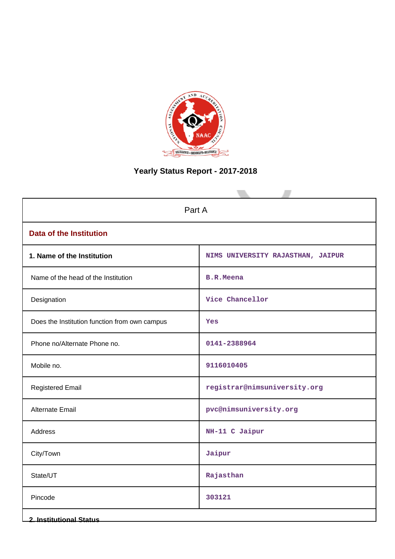

# **Yearly Status Report - 2017-2018**

| Part A                                        |                                   |  |  |  |
|-----------------------------------------------|-----------------------------------|--|--|--|
| <b>Data of the Institution</b>                |                                   |  |  |  |
| 1. Name of the Institution                    | NIMS UNIVERSITY RAJASTHAN, JAIPUR |  |  |  |
| Name of the head of the Institution           | <b>B.R.Meena</b>                  |  |  |  |
| Designation                                   | Vice Chancellor                   |  |  |  |
| Does the Institution function from own campus | Yes                               |  |  |  |
| Phone no/Alternate Phone no.                  | 0141-2388964                      |  |  |  |
| Mobile no.                                    | 9116010405                        |  |  |  |
| <b>Registered Email</b>                       | registrar@nimsuniversity.org      |  |  |  |
| <b>Alternate Email</b>                        | pvc@nimsuniversity.org            |  |  |  |
| Address                                       | NH-11 C Jaipur                    |  |  |  |
| City/Town                                     | Jaipur                            |  |  |  |
| State/UT                                      | Rajasthan                         |  |  |  |
| Pincode                                       | 303121                            |  |  |  |
| <b>2. Institutional Status</b>                |                                   |  |  |  |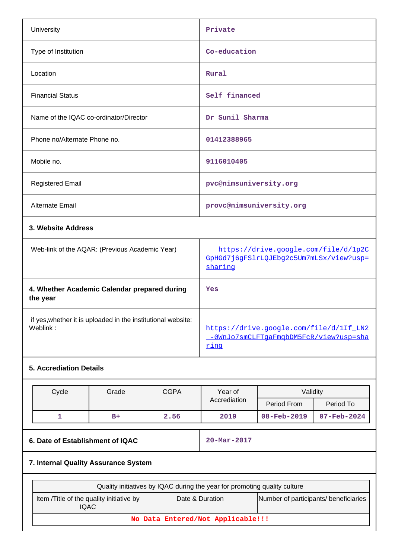| <b>University</b>                      | Private                  |
|----------------------------------------|--------------------------|
| Type of Institution                    | Co-education             |
| Location                               | Rural                    |
| <b>Financial Status</b>                | Self financed            |
| Name of the IQAC co-ordinator/Director | Dr Sunil Sharma          |
| Phone no/Alternate Phone no.           | 01412388965              |
| Mobile no.                             | 9116010405               |
| <b>Registered Email</b>                | pvc@nimsuniversity.org   |
| Alternate Email                        | provc@nimsuniversity.org |
|                                        |                          |

# **3. Website Address**

| Web-link of the AQAR: (Previous Academic Year)                           | https://drive.google.com/file/d/1p2C<br>GpHGd7j6qFSlrLOJEbq2c5Um7mLSx/view?usp=<br>sharing |
|--------------------------------------------------------------------------|--------------------------------------------------------------------------------------------|
| 4. Whether Academic Calendar prepared during<br>the year                 | Yes                                                                                        |
| if yes, whether it is uploaded in the institutional website:<br>Weblink: | https://drive.google.com/file/d/1If LN2<br>-0WnJo7smCLFTqaFmqbDM5FcR/view?usp=sha<br>ring  |

# **5. Accrediation Details**

| Cycle | Grade | <b>CGPA</b> | Year of      | Validitv                 |                          |
|-------|-------|-------------|--------------|--------------------------|--------------------------|
|       |       |             | Accrediation | Period From              | Period To                |
|       | $B+$  | 2.56        | 2019         | $08 - \text{Feb} - 2019$ | $07 - \text{Feb} - 2024$ |

# **6. Date of Establishment of IQAC** 20-Mar-2017

# **7. Internal Quality Assurance System**

| Quality initiatives by IQAC during the year for promoting quality culture                                            |  |  |  |  |  |
|----------------------------------------------------------------------------------------------------------------------|--|--|--|--|--|
| Number of participants/ beneficiaries<br>Item / Title of the quality initiative by<br>Date & Duration<br><b>IQAC</b> |  |  |  |  |  |
| No Data Entered/Not Applicable!!!                                                                                    |  |  |  |  |  |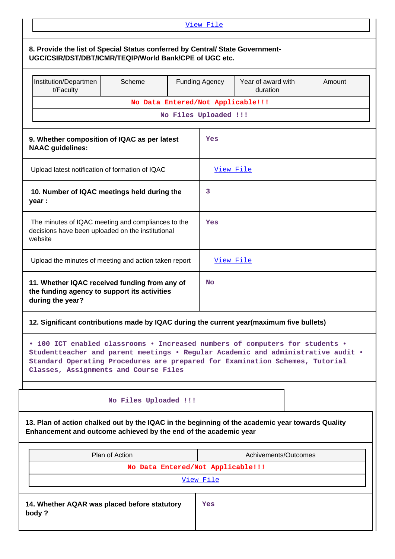| View File                                                                                                                                                                                                                                                                                 |                                                                                                         |                                                         |                       |                      |        |  |
|-------------------------------------------------------------------------------------------------------------------------------------------------------------------------------------------------------------------------------------------------------------------------------------------|---------------------------------------------------------------------------------------------------------|---------------------------------------------------------|-----------------------|----------------------|--------|--|
| 8. Provide the list of Special Status conferred by Central/ State Government-<br>UGC/CSIR/DST/DBT/ICMR/TEQIP/World Bank/CPE of UGC etc.                                                                                                                                                   |                                                                                                         |                                                         |                       |                      |        |  |
| Institution/Departmen<br>t/Faculty                                                                                                                                                                                                                                                        | Scheme                                                                                                  | Year of award with<br><b>Funding Agency</b><br>duration |                       |                      | Amount |  |
|                                                                                                                                                                                                                                                                                           | No Data Entered/Not Applicable!!!                                                                       |                                                         |                       |                      |        |  |
|                                                                                                                                                                                                                                                                                           |                                                                                                         |                                                         | No Files Uploaded !!! |                      |        |  |
| 9. Whether composition of IQAC as per latest<br><b>NAAC</b> guidelines:                                                                                                                                                                                                                   |                                                                                                         |                                                         | Yes                   |                      |        |  |
| Upload latest notification of formation of IQAC                                                                                                                                                                                                                                           |                                                                                                         |                                                         | View File             |                      |        |  |
| 10. Number of IQAC meetings held during the<br>year :                                                                                                                                                                                                                                     |                                                                                                         |                                                         | 3                     |                      |        |  |
| website                                                                                                                                                                                                                                                                                   | The minutes of IQAC meeting and compliances to the<br>decisions have been uploaded on the institutional |                                                         |                       | Yes                  |        |  |
| Upload the minutes of meeting and action taken report                                                                                                                                                                                                                                     |                                                                                                         |                                                         | View File             |                      |        |  |
| during the year?                                                                                                                                                                                                                                                                          | 11. Whether IQAC received funding from any of<br>the funding agency to support its activities           |                                                         |                       | No                   |        |  |
| 12. Significant contributions made by IQAC during the current year(maximum five bullets)                                                                                                                                                                                                  |                                                                                                         |                                                         |                       |                      |        |  |
| • 100 ICT enabled classrooms • Increased numbers of computers for students •<br>Studentteacher and parent meetings . Regular Academic and administrative audit .<br>Standard Operating Procedures are prepared for Examination Schemes, Tutorial<br>Classes, Assignments and Course Files |                                                                                                         |                                                         |                       |                      |        |  |
|                                                                                                                                                                                                                                                                                           | No Files Uploaded !!!                                                                                   |                                                         |                       |                      |        |  |
| 13. Plan of action chalked out by the IQAC in the beginning of the academic year towards Quality<br>Enhancement and outcome achieved by the end of the academic year                                                                                                                      |                                                                                                         |                                                         |                       |                      |        |  |
| Plan of Action                                                                                                                                                                                                                                                                            |                                                                                                         |                                                         |                       | Achivements/Outcomes |        |  |
|                                                                                                                                                                                                                                                                                           | No Data Entered/Not Applicable!!!                                                                       |                                                         |                       |                      |        |  |
|                                                                                                                                                                                                                                                                                           |                                                                                                         |                                                         | View File             |                      |        |  |
| 14. Whether AQAR was placed before statutory<br>Yes<br>body?                                                                                                                                                                                                                              |                                                                                                         |                                                         |                       |                      |        |  |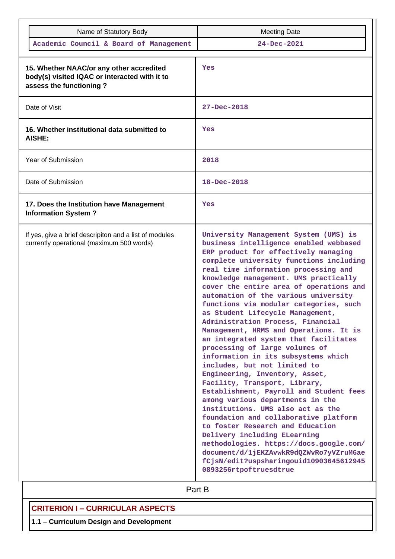| Name of Statutory Body                                                                                               | <b>Meeting Date</b>                                                                                                                                                                                                                                                                                                                                                                                                                                                                                                                                                                                                                                                                                                                                                                                                                                                                                                                                                                                                                                                                                                  |
|----------------------------------------------------------------------------------------------------------------------|----------------------------------------------------------------------------------------------------------------------------------------------------------------------------------------------------------------------------------------------------------------------------------------------------------------------------------------------------------------------------------------------------------------------------------------------------------------------------------------------------------------------------------------------------------------------------------------------------------------------------------------------------------------------------------------------------------------------------------------------------------------------------------------------------------------------------------------------------------------------------------------------------------------------------------------------------------------------------------------------------------------------------------------------------------------------------------------------------------------------|
| Academic Council & Board of Management                                                                               | 24-Dec-2021                                                                                                                                                                                                                                                                                                                                                                                                                                                                                                                                                                                                                                                                                                                                                                                                                                                                                                                                                                                                                                                                                                          |
| 15. Whether NAAC/or any other accredited<br>body(s) visited IQAC or interacted with it to<br>assess the functioning? | Yes                                                                                                                                                                                                                                                                                                                                                                                                                                                                                                                                                                                                                                                                                                                                                                                                                                                                                                                                                                                                                                                                                                                  |
| Date of Visit                                                                                                        | 27-Dec-2018                                                                                                                                                                                                                                                                                                                                                                                                                                                                                                                                                                                                                                                                                                                                                                                                                                                                                                                                                                                                                                                                                                          |
| 16. Whether institutional data submitted to<br>AISHE:                                                                | Yes                                                                                                                                                                                                                                                                                                                                                                                                                                                                                                                                                                                                                                                                                                                                                                                                                                                                                                                                                                                                                                                                                                                  |
| Year of Submission                                                                                                   | 2018                                                                                                                                                                                                                                                                                                                                                                                                                                                                                                                                                                                                                                                                                                                                                                                                                                                                                                                                                                                                                                                                                                                 |
| Date of Submission                                                                                                   | $18 - Dec - 2018$                                                                                                                                                                                                                                                                                                                                                                                                                                                                                                                                                                                                                                                                                                                                                                                                                                                                                                                                                                                                                                                                                                    |
| 17. Does the Institution have Management<br><b>Information System?</b>                                               | Yes                                                                                                                                                                                                                                                                                                                                                                                                                                                                                                                                                                                                                                                                                                                                                                                                                                                                                                                                                                                                                                                                                                                  |
| If yes, give a brief descripiton and a list of modules<br>currently operational (maximum 500 words)                  | University Management System (UMS) is<br>business intelligence enabled webbased<br>ERP product for effectively managing<br>complete university functions including<br>real time information processing and<br>knowledge management. UMS practically<br>cover the entire area of operations and<br>automation of the various university<br>functions via modular categories, such<br>as Student Lifecycle Management,<br>Administration Process, Financial<br>Management, HRMS and Operations. It is<br>an integrated system that facilitates<br>processing of large volumes of<br>information in its subsystems which<br>includes, but not limited to<br>Engineering, Inventory, Asset,<br>Facility, Transport, Library,<br>Establishment, Payroll and Student fees<br>among various departments in the<br>institutions. UMS also act as the<br>foundation and collaborative platform<br>to foster Research and Education<br>Delivery including ELearning<br>methodologies. https://docs.google.com/<br>document/d/1jEKZAvwkR9dQZWvRo7yVZruM6ae<br>fCjsN/edit?uspsharingouid10903645612945<br>0893256rtpoftruesdtrue |

# **Part B**

# **CRITERION I – CURRICULAR ASPECTS**

**1.1 – Curriculum Design and Development**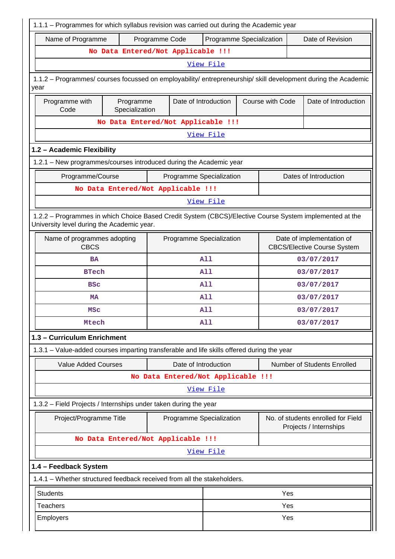| 1.1.1 - Programmes for which syllabus revision was carried out during the Academic year                                                               |                                                                                                                |                                                                                             |            |                                                              |                             |  |  |  |
|-------------------------------------------------------------------------------------------------------------------------------------------------------|----------------------------------------------------------------------------------------------------------------|---------------------------------------------------------------------------------------------|------------|--------------------------------------------------------------|-----------------------------|--|--|--|
| Name of Programme                                                                                                                                     | Programme Code                                                                                                 | Programme Specialization                                                                    |            |                                                              | Date of Revision            |  |  |  |
| No Data Entered/Not Applicable !!!                                                                                                                    |                                                                                                                |                                                                                             |            |                                                              |                             |  |  |  |
|                                                                                                                                                       |                                                                                                                | View File                                                                                   |            |                                                              |                             |  |  |  |
| year                                                                                                                                                  | 1.1.2 - Programmes/ courses focussed on employability/ entrepreneurship/ skill development during the Academic |                                                                                             |            |                                                              |                             |  |  |  |
| Programme<br>Programme with<br>Code<br>Specialization                                                                                                 |                                                                                                                | Date of Introduction<br>Course with Code<br>Date of Introduction                            |            |                                                              |                             |  |  |  |
|                                                                                                                                                       | No Data Entered/Not Applicable !!!                                                                             |                                                                                             |            |                                                              |                             |  |  |  |
|                                                                                                                                                       |                                                                                                                | View File                                                                                   |            |                                                              |                             |  |  |  |
| 1.2 - Academic Flexibility                                                                                                                            |                                                                                                                |                                                                                             |            |                                                              |                             |  |  |  |
| 1.2.1 - New programmes/courses introduced during the Academic year                                                                                    |                                                                                                                |                                                                                             |            |                                                              |                             |  |  |  |
| Programme/Course                                                                                                                                      | Programme Specialization                                                                                       |                                                                                             |            |                                                              | Dates of Introduction       |  |  |  |
| No Data Entered/Not Applicable !!!                                                                                                                    |                                                                                                                |                                                                                             |            |                                                              |                             |  |  |  |
|                                                                                                                                                       |                                                                                                                | View File                                                                                   |            |                                                              |                             |  |  |  |
| 1.2.2 - Programmes in which Choice Based Credit System (CBCS)/Elective Course System implemented at the<br>University level during the Academic year. |                                                                                                                |                                                                                             |            |                                                              |                             |  |  |  |
| Name of programmes adopting<br><b>CBCS</b>                                                                                                            |                                                                                                                | Programme Specialization<br>Date of implementation of<br><b>CBCS/Elective Course System</b> |            |                                                              |                             |  |  |  |
| <b>BA</b>                                                                                                                                             |                                                                                                                | <b>A11</b>                                                                                  |            |                                                              | 03/07/2017                  |  |  |  |
| <b>BTech</b>                                                                                                                                          |                                                                                                                | <b>A11</b>                                                                                  | 03/07/2017 |                                                              |                             |  |  |  |
| <b>BSC</b>                                                                                                                                            |                                                                                                                | A11<br>03/07/2017                                                                           |            |                                                              |                             |  |  |  |
| <b>MA</b>                                                                                                                                             |                                                                                                                | A11                                                                                         |            |                                                              | 03/07/2017                  |  |  |  |
| MSC                                                                                                                                                   |                                                                                                                | <b>A11</b>                                                                                  |            |                                                              | 03/07/2017                  |  |  |  |
| <b>Mtech</b>                                                                                                                                          |                                                                                                                | <b>A11</b>                                                                                  |            |                                                              | 03/07/2017                  |  |  |  |
| 1.3 - Curriculum Enrichment                                                                                                                           |                                                                                                                |                                                                                             |            |                                                              |                             |  |  |  |
| 1.3.1 - Value-added courses imparting transferable and life skills offered during the year                                                            |                                                                                                                |                                                                                             |            |                                                              |                             |  |  |  |
| <b>Value Added Courses</b>                                                                                                                            | Date of Introduction                                                                                           |                                                                                             |            |                                                              | Number of Students Enrolled |  |  |  |
|                                                                                                                                                       | No Data Entered/Not Applicable !!!                                                                             |                                                                                             |            |                                                              |                             |  |  |  |
|                                                                                                                                                       |                                                                                                                | View File                                                                                   |            |                                                              |                             |  |  |  |
| 1.3.2 - Field Projects / Internships under taken during the year                                                                                      |                                                                                                                |                                                                                             |            |                                                              |                             |  |  |  |
| Project/Programme Title                                                                                                                               |                                                                                                                | Programme Specialization                                                                    |            | No. of students enrolled for Field<br>Projects / Internships |                             |  |  |  |
| No Data Entered/Not Applicable !!!                                                                                                                    |                                                                                                                |                                                                                             |            |                                                              |                             |  |  |  |
|                                                                                                                                                       |                                                                                                                | View File                                                                                   |            |                                                              |                             |  |  |  |
| 1.4 - Feedback System                                                                                                                                 |                                                                                                                |                                                                                             |            |                                                              |                             |  |  |  |
| 1.4.1 - Whether structured feedback received from all the stakeholders.                                                                               |                                                                                                                |                                                                                             |            |                                                              |                             |  |  |  |
| <b>Students</b>                                                                                                                                       |                                                                                                                |                                                                                             |            | Yes                                                          |                             |  |  |  |
| <b>Teachers</b>                                                                                                                                       |                                                                                                                |                                                                                             |            | Yes                                                          |                             |  |  |  |
| Yes<br>Employers                                                                                                                                      |                                                                                                                |                                                                                             |            |                                                              |                             |  |  |  |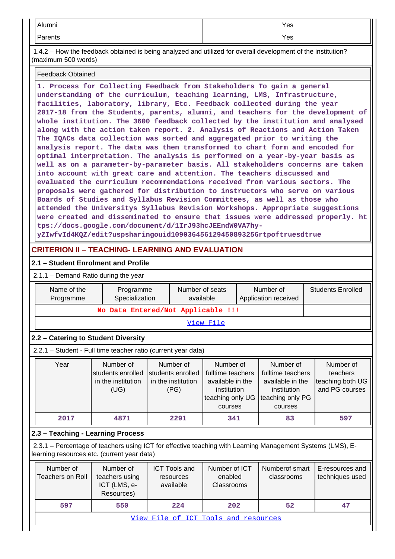| Alumni                     | Yes |
|----------------------------|-----|
| ∍<br>$   -$<br>rents<br>aı | Yes |

 1.4.2 – How the feedback obtained is being analyzed and utilized for overall development of the institution? (maximum 500 words)

### Feedback Obtained

**1. Process for Collecting Feedback from Stakeholders To gain a general understanding of the curriculum, teaching learning, LMS, Infrastructure, facilities, laboratory, library, Etc. Feedback collected during the year 2017-18 from the Students, parents, alumni, and teachers for the development of whole institution. The 3600 feedback collected by the institution and analysed along with the action taken report. 2. Analysis of Reactions and Action Taken The IQACs data collection was sorted and aggregated prior to writing the analysis report. The data was then transformed to chart form and encoded for optimal interpretation. The analysis is performed on a year-by-year basis as well as on a parameter-by-parameter basis. All stakeholders concerns are taken into account with great care and attention. The teachers discussed and evaluated the curriculum recommendations received from various sectors. The proposals were gathered for distribution to instructors who serve on various Boards of Studies and Syllabus Revision Committees, as well as those who attended the Universitys Syllabus Revision Workshops. Appropriate suggestions were created and disseminated to ensure that issues were addressed properly. ht tps://docs.google.com/document/d/1IrJ93hcJEEndW0VA7hyyZIwfvId4KQZ/edit?uspsharingouid109036456129450893256rtpoftruesdtrue**

# **CRITERION II – TEACHING- LEARNING AND EVALUATION**

### **2.1 – Student Enrolment and Profile**

2.1.1 – Demand Ratio during the year

| Name of the<br>Programme             | Programme<br>Specialization                                                                                                                               |  |                                                              | Number of seats<br>available                                                                     |  | Number of<br>Application received                                                                | <b>Students Enrolled</b>                                    |     |
|--------------------------------------|-----------------------------------------------------------------------------------------------------------------------------------------------------------|--|--------------------------------------------------------------|--------------------------------------------------------------------------------------------------|--|--------------------------------------------------------------------------------------------------|-------------------------------------------------------------|-----|
|                                      | No Data Entered/Not Applicable !!!                                                                                                                        |  |                                                              |                                                                                                  |  |                                                                                                  |                                                             |     |
|                                      |                                                                                                                                                           |  |                                                              | View File                                                                                        |  |                                                                                                  |                                                             |     |
|                                      | 2.2 - Catering to Student Diversity                                                                                                                       |  |                                                              |                                                                                                  |  |                                                                                                  |                                                             |     |
|                                      | 2.2.1 - Student - Full time teacher ratio (current year data)                                                                                             |  |                                                              |                                                                                                  |  |                                                                                                  |                                                             |     |
| Year                                 | Number of<br>students enrolled<br>in the institution<br>(UG)                                                                                              |  | Number of<br>students enrolled<br>in the institution<br>(PG) | Number of<br>fulltime teachers<br>available in the<br>institution<br>teaching only UG<br>courses |  | Number of<br>fulltime teachers<br>available in the<br>institution<br>teaching only PG<br>courses | Number of<br>teachers<br>teaching both UG<br>and PG courses |     |
| 2017                                 | 4871                                                                                                                                                      |  | 2291                                                         | 341                                                                                              |  | 83                                                                                               |                                                             | 597 |
|                                      | 2.3 - Teaching - Learning Process                                                                                                                         |  |                                                              |                                                                                                  |  |                                                                                                  |                                                             |     |
|                                      | 2.3.1 – Percentage of teachers using ICT for effective teaching with Learning Management Systems (LMS), E-<br>learning resources etc. (current year data) |  |                                                              |                                                                                                  |  |                                                                                                  |                                                             |     |
| Number of<br><b>Teachers on Roll</b> | Number of<br>teachers using<br>ICT (LMS, e-<br>Resources)                                                                                                 |  | <b>ICT Tools and</b><br>resources<br>available               | Number of ICT<br>enabled<br>Classrooms                                                           |  | Numberof smart<br>classrooms                                                                     | E-resources and<br>techniques used                          |     |
| 597                                  | 550                                                                                                                                                       |  | 224                                                          | 202                                                                                              |  | 52                                                                                               |                                                             | 47  |
|                                      |                                                                                                                                                           |  |                                                              | View File of ICT Tools and resources                                                             |  |                                                                                                  |                                                             |     |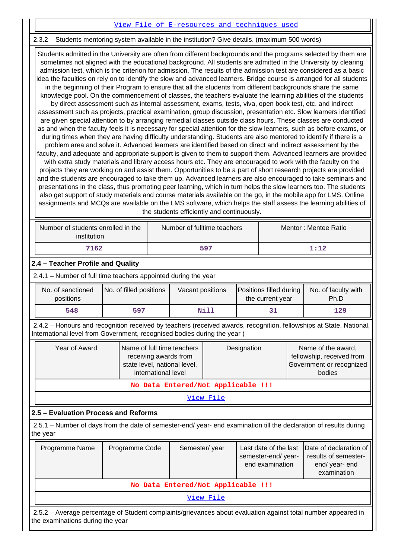### [View File of E-resources and techniques used](https://assessmentonline.naac.gov.in/public/Postacc/e_resource/9732_e_resource_1640798176.xlsx)

### 2.3.2 – Students mentoring system available in the institution? Give details. (maximum 500 words)

 Students admitted in the University are often from different backgrounds and the programs selected by them are sometimes not aligned with the educational background. All students are admitted in the University by clearing admission test, which is the criterion for admission. The results of the admission test are considered as a basic idea the faculties on rely on to identify the slow and advanced learners. Bridge course is arranged for all students in the beginning of their Program to ensure that all the students from different backgrounds share the same knowledge pool. On the commencement of classes, the teachers evaluate the learning abilities of the students by direct assessment such as internal assessment, exams, tests, viva, open book test, etc. and indirect assessment such as projects, practical examination, group discussion, presentation etc. Slow learners identified are given special attention to by arranging remedial classes outside class hours. These classes are conducted as and when the faculty feels it is necessary for special attention for the slow learners, such as before exams, or during times when they are having difficulty understanding. Students are also mentored to identify if there is a problem area and solve it. Advanced learners are identified based on direct and indirect assessment by the faculty, and adequate and appropriate support is given to them to support them. Advanced learners are provided with extra study materials and library access hours etc. They are encouraged to work with the faculty on the projects they are working on and assist them. Opportunities to be a part of short research projects are provided and the students are encouraged to take them up. Advanced learners are also encouraged to take seminars and presentations in the class, thus promoting peer learning, which in turn helps the slow learners too. The students also get support of study materials and course materials available on the go, in the mobile app for LMS. Online assignments and MCQs are available on the LMS software, which helps the staff assess the learning abilities of the students efficiently and continuously.

| Number of students enrolled in the<br>institution | Number of fulltime teachers | Mentor: Mentee Ratio |
|---------------------------------------------------|-----------------------------|----------------------|
| 7162                                              | 597                         | 1:12                 |

### **2.4 – Teacher Profile and Quality**

2.4.1 – Number of full time teachers appointed during the year

| No. of sanctioned<br>positions | No. of filled positions | Vacant positions | Positions filled during<br>the current year | No. of faculty with<br>Ph.D |
|--------------------------------|-------------------------|------------------|---------------------------------------------|-----------------------------|
| 548                            | 597                     | Nill             |                                             | 129                         |

 2.4.2 – Honours and recognition received by teachers (received awards, recognition, fellowships at State, National, International level from Government, recognised bodies during the year )

| Year of Award | Name of full time teachers<br>receiving awards from<br>state level, national level,<br>international level | Designation | Name of the award,<br>fellowship, received from<br>Government or recognized<br>bodies |  |  |  |
|---------------|------------------------------------------------------------------------------------------------------------|-------------|---------------------------------------------------------------------------------------|--|--|--|
|               | No Data Entered/Not Applicable !!!                                                                         |             |                                                                                       |  |  |  |

[View File](https://assessmentonline.naac.gov.in/public/Postacc/Honours_recieved/9732_Honours_recieved_1640794968.xlsx)

### **2.5 – Evaluation Process and Reforms**

 2.5.1 – Number of days from the date of semester-end/ year- end examination till the declaration of results during the year

| Programme Name             | Programme Code                                                                                       | Semester/year                      | semester-end/year-<br>end examination | Last date of the last Date of declaration of<br>results of semester-<br>end/year-end<br>examination |  |  |
|----------------------------|------------------------------------------------------------------------------------------------------|------------------------------------|---------------------------------------|-----------------------------------------------------------------------------------------------------|--|--|
|                            |                                                                                                      | No Data Entered/Not Applicable !!! |                                       |                                                                                                     |  |  |
| View File                  |                                                                                                      |                                    |                                       |                                                                                                     |  |  |
| $\Omega$ $\Gamma$ $\Omega$ | Average perception of Ctudent complete lariousness about avaluation oscient total number canographic |                                    |                                       |                                                                                                     |  |  |

 2.5.2 – Average percentage of Student complaints/grievances about evaluation against total number appeared in the examinations during the year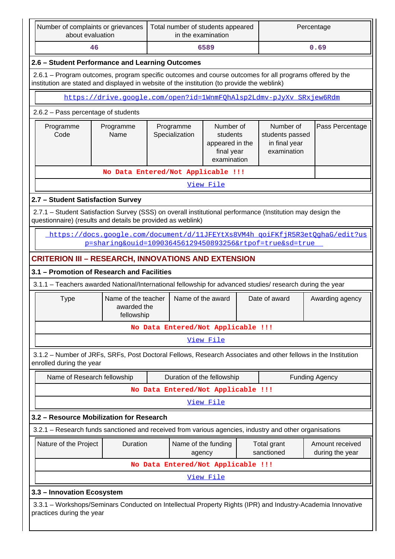| Number of complaints or grievances<br>about evaluation                                                                                                                                                 |                                                  | Total number of students appeared                                                                                                                                    | in the examination            |  |                           | Percentage                                                                   |
|--------------------------------------------------------------------------------------------------------------------------------------------------------------------------------------------------------|--------------------------------------------------|----------------------------------------------------------------------------------------------------------------------------------------------------------------------|-------------------------------|--|---------------------------|------------------------------------------------------------------------------|
| 46                                                                                                                                                                                                     |                                                  |                                                                                                                                                                      | 6589                          |  |                           | 0.69                                                                         |
|                                                                                                                                                                                                        | 2.6 - Student Performance and Learning Outcomes  |                                                                                                                                                                      |                               |  |                           |                                                                              |
| 2.6.1 – Program outcomes, program specific outcomes and course outcomes for all programs offered by the<br>institution are stated and displayed in website of the institution (to provide the weblink) |                                                  |                                                                                                                                                                      |                               |  |                           |                                                                              |
| https://drive.google.com/open?id=1WnmFOhAlsp2Ldmv-pJyXv SRxjew6Rdm                                                                                                                                     |                                                  |                                                                                                                                                                      |                               |  |                           |                                                                              |
| 2.6.2 - Pass percentage of students                                                                                                                                                                    |                                                  |                                                                                                                                                                      |                               |  |                           |                                                                              |
| Programme<br>Code                                                                                                                                                                                      | Programme<br>Name                                | Number of<br>Number of<br>Programme<br>Specialization<br>students passed<br>students<br>in final year<br>appeared in the<br>examination<br>final year<br>examination |                               |  | Pass Percentage           |                                                                              |
|                                                                                                                                                                                                        |                                                  | No Data Entered/Not Applicable !!!                                                                                                                                   |                               |  |                           |                                                                              |
|                                                                                                                                                                                                        |                                                  |                                                                                                                                                                      | View File                     |  |                           |                                                                              |
| 2.7 - Student Satisfaction Survey                                                                                                                                                                      |                                                  |                                                                                                                                                                      |                               |  |                           |                                                                              |
| 2.7.1 - Student Satisfaction Survey (SSS) on overall institutional performance (Institution may design the<br>questionnaire) (results and details be provided as weblink)                              |                                                  |                                                                                                                                                                      |                               |  |                           |                                                                              |
|                                                                                                                                                                                                        |                                                  | p=sharing&ouid=109036456129450893256&rtpof=true&sd=true                                                                                                              |                               |  |                           | https://docs.google.com/document/d/11JFEYtXs8VM4h goiFKfjR5R3etOghaG/edit?us |
| <b>CRITERION III - RESEARCH, INNOVATIONS AND EXTENSION</b>                                                                                                                                             |                                                  |                                                                                                                                                                      |                               |  |                           |                                                                              |
| 3.1 - Promotion of Research and Facilities                                                                                                                                                             |                                                  |                                                                                                                                                                      |                               |  |                           |                                                                              |
| 3.1.1 - Teachers awarded National/International fellowship for advanced studies/ research during the year                                                                                              |                                                  |                                                                                                                                                                      |                               |  |                           |                                                                              |
| <b>Type</b>                                                                                                                                                                                            | Name of the teacher<br>awarded the<br>fellowship |                                                                                                                                                                      | Name of the award             |  | Date of award             | Awarding agency                                                              |
|                                                                                                                                                                                                        |                                                  | No Data Entered/Not Applicable !!!                                                                                                                                   |                               |  |                           |                                                                              |
|                                                                                                                                                                                                        |                                                  |                                                                                                                                                                      | View File                     |  |                           |                                                                              |
| 3.1.2 - Number of JRFs, SRFs, Post Doctoral Fellows, Research Associates and other fellows in the Institution<br>enrolled during the year                                                              |                                                  |                                                                                                                                                                      |                               |  |                           |                                                                              |
| Name of Research fellowship                                                                                                                                                                            |                                                  |                                                                                                                                                                      | Duration of the fellowship    |  |                           | <b>Funding Agency</b>                                                        |
|                                                                                                                                                                                                        |                                                  | No Data Entered/Not Applicable !!!                                                                                                                                   |                               |  |                           |                                                                              |
|                                                                                                                                                                                                        |                                                  |                                                                                                                                                                      | View File                     |  |                           |                                                                              |
| 3.2 - Resource Mobilization for Research                                                                                                                                                               |                                                  |                                                                                                                                                                      |                               |  |                           |                                                                              |
| 3.2.1 - Research funds sanctioned and received from various agencies, industry and other organisations                                                                                                 |                                                  |                                                                                                                                                                      |                               |  |                           |                                                                              |
| Nature of the Project                                                                                                                                                                                  | Duration                                         |                                                                                                                                                                      | Name of the funding<br>agency |  | Total grant<br>sanctioned | Amount received<br>during the year                                           |
|                                                                                                                                                                                                        |                                                  | No Data Entered/Not Applicable !!!                                                                                                                                   |                               |  |                           |                                                                              |
|                                                                                                                                                                                                        |                                                  |                                                                                                                                                                      | View File                     |  |                           |                                                                              |
| 3.3 - Innovation Ecosystem                                                                                                                                                                             |                                                  |                                                                                                                                                                      |                               |  |                           |                                                                              |
| 3.3.1 – Workshops/Seminars Conducted on Intellectual Property Rights (IPR) and Industry-Academia Innovative<br>practices during the year                                                               |                                                  |                                                                                                                                                                      |                               |  |                           |                                                                              |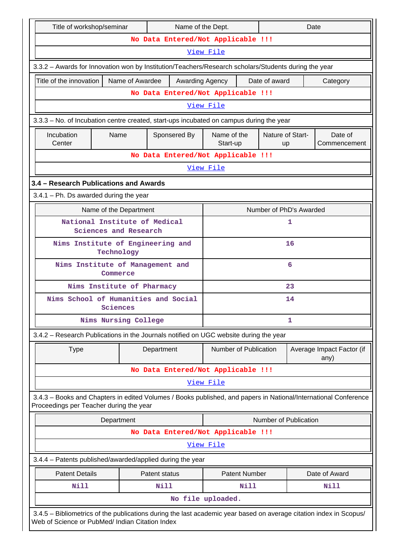|                                                                                                   | Title of workshop/seminar                             |                            |                         | Name of the Dept.                                                                                                  |                       |                      |                         | Date |                                   |
|---------------------------------------------------------------------------------------------------|-------------------------------------------------------|----------------------------|-------------------------|--------------------------------------------------------------------------------------------------------------------|-----------------------|----------------------|-------------------------|------|-----------------------------------|
|                                                                                                   |                                                       |                            |                         | No Data Entered/Not Applicable !!!                                                                                 |                       |                      |                         |      |                                   |
|                                                                                                   |                                                       |                            |                         |                                                                                                                    | View File             |                      |                         |      |                                   |
|                                                                                                   |                                                       |                            |                         | 3.3.2 - Awards for Innovation won by Institution/Teachers/Research scholars/Students during the year               |                       |                      |                         |      |                                   |
|                                                                                                   | Title of the innovation                               |                            | Name of Awardee         | Awarding Agency                                                                                                    |                       |                      | Date of award           |      | Category                          |
|                                                                                                   |                                                       |                            |                         | No Data Entered/Not Applicable !!!                                                                                 |                       |                      |                         |      |                                   |
|                                                                                                   |                                                       |                            |                         |                                                                                                                    | View File             |                      |                         |      |                                   |
|                                                                                                   |                                                       |                            |                         | 3.3.3 - No. of Incubation centre created, start-ups incubated on campus during the year                            |                       |                      |                         |      |                                   |
| Incubation<br>Name of the<br>Nature of Start-<br>Name<br>Sponsered By<br>Center<br>Start-up<br>up |                                                       |                            | Date of<br>Commencement |                                                                                                                    |                       |                      |                         |      |                                   |
|                                                                                                   |                                                       |                            |                         | No Data Entered/Not Applicable !!!                                                                                 |                       |                      |                         |      |                                   |
|                                                                                                   |                                                       |                            |                         |                                                                                                                    | View File             |                      |                         |      |                                   |
|                                                                                                   | 3.4 - Research Publications and Awards                |                            |                         |                                                                                                                    |                       |                      |                         |      |                                   |
|                                                                                                   | $3.4.1$ – Ph. Ds awarded during the year              |                            |                         |                                                                                                                    |                       |                      |                         |      |                                   |
|                                                                                                   |                                                       | Name of the Department     |                         |                                                                                                                    |                       |                      | Number of PhD's Awarded |      |                                   |
| National Institute of Medical<br>1<br>Sciences and Research                                       |                                                       |                            |                         |                                                                                                                    |                       |                      |                         |      |                                   |
|                                                                                                   | Nims Institute of Engineering and<br>16<br>Technology |                            |                         |                                                                                                                    |                       |                      |                         |      |                                   |
|                                                                                                   | Nims Institute of Management and<br>6<br>Commerce     |                            |                         |                                                                                                                    |                       |                      |                         |      |                                   |
|                                                                                                   |                                                       | Nims Institute of Pharmacy |                         |                                                                                                                    |                       |                      | 23                      |      |                                   |
|                                                                                                   |                                                       | Sciences                   |                         | Nims School of Humanities and Social                                                                               | 14                    |                      |                         |      |                                   |
|                                                                                                   |                                                       | Nims Nursing College       |                         |                                                                                                                    |                       |                      | 1                       |      |                                   |
|                                                                                                   |                                                       |                            |                         | 3.4.2 - Research Publications in the Journals notified on UGC website during the year                              |                       |                      |                         |      |                                   |
|                                                                                                   | <b>Type</b>                                           |                            |                         | Department                                                                                                         | Number of Publication |                      |                         |      | Average Impact Factor (if<br>any) |
|                                                                                                   |                                                       |                            |                         | No Data Entered/Not Applicable !!!                                                                                 |                       |                      |                         |      |                                   |
|                                                                                                   |                                                       |                            |                         |                                                                                                                    | View File             |                      |                         |      |                                   |
|                                                                                                   | Proceedings per Teacher during the year               |                            |                         | 3.4.3 - Books and Chapters in edited Volumes / Books published, and papers in National/International Conference    |                       |                      |                         |      |                                   |
|                                                                                                   |                                                       | Department                 |                         |                                                                                                                    |                       |                      | Number of Publication   |      |                                   |
|                                                                                                   |                                                       |                            |                         | No Data Entered/Not Applicable !!!                                                                                 |                       |                      |                         |      |                                   |
|                                                                                                   |                                                       |                            |                         |                                                                                                                    | View File             |                      |                         |      |                                   |
|                                                                                                   |                                                       |                            |                         | 3.4.4 - Patents published/awarded/applied during the year                                                          |                       |                      |                         |      |                                   |
|                                                                                                   | <b>Patent Details</b>                                 |                            |                         | Patent status                                                                                                      |                       | <b>Patent Number</b> |                         |      | Date of Award                     |
|                                                                                                   | <b>Nill</b>                                           |                            |                         | Nill                                                                                                               |                       | Nill                 |                         |      | Nill                              |
|                                                                                                   |                                                       |                            |                         |                                                                                                                    | No file uploaded.     |                      |                         |      |                                   |
|                                                                                                   | Web of Science or PubMed/ Indian Citation Index       |                            |                         | 3.4.5 - Bibliometrics of the publications during the last academic year based on average citation index in Scopus/ |                       |                      |                         |      |                                   |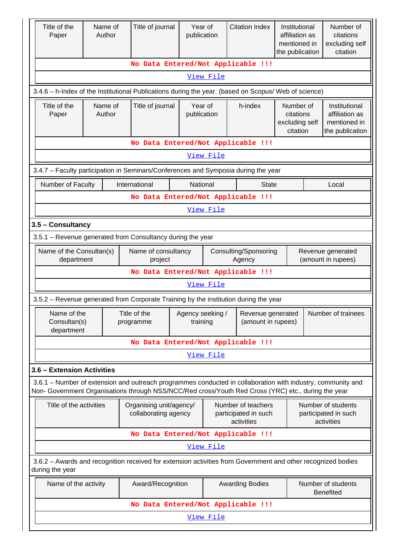| Title of the<br>Paper                     | Name of<br>Author                                                                                                                                      | Title of journal                                                                                                                                                                                                   | Year of<br>publication       |                  | <b>Citation Index</b>                                    | Institutional<br>affiliation as<br>mentioned in<br>the publication |  | Number of<br>citations<br>excluding self<br>citation               |
|-------------------------------------------|--------------------------------------------------------------------------------------------------------------------------------------------------------|--------------------------------------------------------------------------------------------------------------------------------------------------------------------------------------------------------------------|------------------------------|------------------|----------------------------------------------------------|--------------------------------------------------------------------|--|--------------------------------------------------------------------|
|                                           |                                                                                                                                                        | No Data Entered/Not Applicable !!!                                                                                                                                                                                 |                              |                  |                                                          |                                                                    |  |                                                                    |
|                                           |                                                                                                                                                        |                                                                                                                                                                                                                    | View File                    |                  |                                                          |                                                                    |  |                                                                    |
|                                           |                                                                                                                                                        | 3.4.6 - h-Index of the Institutional Publications during the year. (based on Scopus/ Web of science)                                                                                                               |                              |                  |                                                          |                                                                    |  |                                                                    |
| Title of the<br>Paper                     | Name of<br>Title of journal<br>Author                                                                                                                  |                                                                                                                                                                                                                    | Year of<br>publication       |                  | h-index                                                  | Number of<br>citations<br>excluding self<br>citation               |  | Institutional<br>affiliation as<br>mentioned in<br>the publication |
|                                           |                                                                                                                                                        | No Data Entered/Not Applicable !!!                                                                                                                                                                                 |                              |                  |                                                          |                                                                    |  |                                                                    |
|                                           |                                                                                                                                                        |                                                                                                                                                                                                                    |                              | View File        |                                                          |                                                                    |  |                                                                    |
|                                           |                                                                                                                                                        | 3.4.7 - Faculty participation in Seminars/Conferences and Symposia during the year                                                                                                                                 |                              |                  |                                                          |                                                                    |  |                                                                    |
| Number of Faculty                         |                                                                                                                                                        | International                                                                                                                                                                                                      | National                     |                  | <b>State</b>                                             |                                                                    |  | Local                                                              |
|                                           |                                                                                                                                                        | No Data Entered/Not Applicable !!!                                                                                                                                                                                 |                              |                  |                                                          |                                                                    |  |                                                                    |
|                                           |                                                                                                                                                        |                                                                                                                                                                                                                    |                              | View File        |                                                          |                                                                    |  |                                                                    |
| 3.5 - Consultancy                         |                                                                                                                                                        |                                                                                                                                                                                                                    |                              |                  |                                                          |                                                                    |  |                                                                    |
|                                           |                                                                                                                                                        | 3.5.1 - Revenue generated from Consultancy during the year                                                                                                                                                         |                              |                  |                                                          |                                                                    |  |                                                                    |
|                                           | Name of the Consultan(s)<br>Name of consultancy<br>Consulting/Sponsoring<br>Revenue generated<br>(amount in rupees)<br>department<br>Agency<br>project |                                                                                                                                                                                                                    |                              |                  |                                                          |                                                                    |  |                                                                    |
|                                           |                                                                                                                                                        | No Data Entered/Not Applicable !!!                                                                                                                                                                                 |                              |                  |                                                          |                                                                    |  |                                                                    |
|                                           |                                                                                                                                                        |                                                                                                                                                                                                                    |                              | View File        |                                                          |                                                                    |  |                                                                    |
|                                           |                                                                                                                                                        | 3.5.2 – Revenue generated from Corporate Training by the institution during the year                                                                                                                               |                              |                  |                                                          |                                                                    |  |                                                                    |
| Name of the<br>Consultan(s)<br>department |                                                                                                                                                        | Title of the<br>programme                                                                                                                                                                                          | Agency seeking /<br>training |                  | Revenue generated<br>(amount in rupees)                  |                                                                    |  | Number of trainees                                                 |
|                                           |                                                                                                                                                        | No Data Entered/Not Applicable !!!                                                                                                                                                                                 |                              |                  |                                                          |                                                                    |  |                                                                    |
|                                           |                                                                                                                                                        |                                                                                                                                                                                                                    |                              | View File        |                                                          |                                                                    |  |                                                                    |
| 3.6 - Extension Activities                |                                                                                                                                                        |                                                                                                                                                                                                                    |                              |                  |                                                          |                                                                    |  |                                                                    |
|                                           |                                                                                                                                                        | 3.6.1 – Number of extension and outreach programmes conducted in collaboration with industry, community and<br>Non- Government Organisations through NSS/NCC/Red cross/Youth Red Cross (YRC) etc., during the year |                              |                  |                                                          |                                                                    |  |                                                                    |
| Title of the activities                   |                                                                                                                                                        | Organising unit/agency/<br>collaborating agency                                                                                                                                                                    |                              |                  | Number of teachers<br>participated in such<br>activities |                                                                    |  | Number of students<br>participated in such<br>activities           |
|                                           |                                                                                                                                                        | No Data Entered/Not Applicable !!!                                                                                                                                                                                 |                              |                  |                                                          |                                                                    |  |                                                                    |
|                                           |                                                                                                                                                        |                                                                                                                                                                                                                    |                              | <u>View File</u> |                                                          |                                                                    |  |                                                                    |
| during the year                           |                                                                                                                                                        | 3.6.2 - Awards and recognition received for extension activities from Government and other recognized bodies                                                                                                       |                              |                  |                                                          |                                                                    |  |                                                                    |
| Name of the activity                      |                                                                                                                                                        | Award/Recognition                                                                                                                                                                                                  |                              |                  | <b>Awarding Bodies</b>                                   |                                                                    |  | Number of students<br><b>Benefited</b>                             |
|                                           |                                                                                                                                                        | No Data Entered/Not Applicable !!!                                                                                                                                                                                 |                              |                  |                                                          |                                                                    |  |                                                                    |
|                                           |                                                                                                                                                        |                                                                                                                                                                                                                    |                              | View File        |                                                          |                                                                    |  |                                                                    |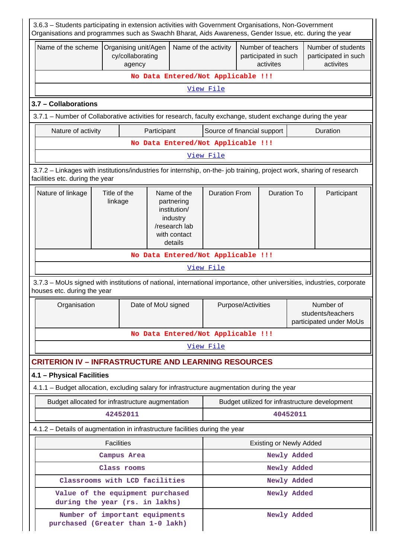| 3.6.3 - Students participating in extension activities with Government Organisations, Non-Government<br>Organisations and programmes such as Swachh Bharat, Aids Awareness, Gender Issue, etc. during the year |                   |                                                    |                      |                      |                                    |                                                         |                                |                                                           |                                                         |
|----------------------------------------------------------------------------------------------------------------------------------------------------------------------------------------------------------------|-------------------|----------------------------------------------------|----------------------|----------------------|------------------------------------|---------------------------------------------------------|--------------------------------|-----------------------------------------------------------|---------------------------------------------------------|
| Name of the scheme                                                                                                                                                                                             |                   | Organising unit/Agen<br>cy/collaborating<br>agency |                      | Name of the activity |                                    | Number of teachers<br>participated in such<br>activites |                                |                                                           | Number of students<br>participated in such<br>activites |
|                                                                                                                                                                                                                |                   |                                                    |                      |                      | No Data Entered/Not Applicable !!! |                                                         |                                |                                                           |                                                         |
|                                                                                                                                                                                                                |                   |                                                    |                      |                      | View File                          |                                                         |                                |                                                           |                                                         |
| 3.7 - Collaborations                                                                                                                                                                                           |                   |                                                    |                      |                      |                                    |                                                         |                                |                                                           |                                                         |
| 3.7.1 – Number of Collaborative activities for research, faculty exchange, student exchange during the year                                                                                                    |                   |                                                    |                      |                      |                                    |                                                         |                                |                                                           |                                                         |
| Nature of activity<br>Participant                                                                                                                                                                              |                   |                                                    |                      |                      | Source of financial support        |                                                         |                                |                                                           | Duration                                                |
| No Data Entered/Not Applicable !!!                                                                                                                                                                             |                   |                                                    |                      |                      |                                    |                                                         |                                |                                                           |                                                         |
|                                                                                                                                                                                                                |                   |                                                    |                      |                      | View File                          |                                                         |                                |                                                           |                                                         |
| 3.7.2 - Linkages with institutions/industries for internship, on-the- job training, project work, sharing of research<br>facilities etc. during the year                                                       |                   |                                                    |                      |                      |                                    |                                                         |                                |                                                           |                                                         |
| Nature of linkage<br>Title of the<br>Name of the<br>linkage<br>partnering<br>institution/<br>industry<br>/research lab<br>with contact<br>details                                                              |                   |                                                    | <b>Duration From</b> |                      | <b>Duration To</b>                 |                                                         | Participant                    |                                                           |                                                         |
| No Data Entered/Not Applicable !!!                                                                                                                                                                             |                   |                                                    |                      |                      |                                    |                                                         |                                |                                                           |                                                         |
|                                                                                                                                                                                                                |                   |                                                    |                      |                      | View File                          |                                                         |                                |                                                           |                                                         |
| 3.7.3 - MoUs signed with institutions of national, international importance, other universities, industries, corporate<br>houses etc. during the year                                                          |                   |                                                    |                      |                      |                                    |                                                         |                                |                                                           |                                                         |
| Organisation                                                                                                                                                                                                   |                   |                                                    | Date of MoU signed   |                      | Purpose/Activities                 |                                                         |                                | Number of<br>students/teachers<br>participated under MoUs |                                                         |
|                                                                                                                                                                                                                |                   |                                                    |                      |                      | No Data Entered/Not Applicable !!! |                                                         |                                |                                                           |                                                         |
|                                                                                                                                                                                                                |                   |                                                    |                      |                      | View File                          |                                                         |                                |                                                           |                                                         |
| <b>CRITERION IV - INFRASTRUCTURE AND LEARNING RESOURCES</b>                                                                                                                                                    |                   |                                                    |                      |                      |                                    |                                                         |                                |                                                           |                                                         |
| 4.1 - Physical Facilities                                                                                                                                                                                      |                   |                                                    |                      |                      |                                    |                                                         |                                |                                                           |                                                         |
| 4.1.1 - Budget allocation, excluding salary for infrastructure augmentation during the year                                                                                                                    |                   |                                                    |                      |                      |                                    |                                                         |                                |                                                           |                                                         |
| Budget allocated for infrastructure augmentation                                                                                                                                                               |                   |                                                    |                      |                      |                                    |                                                         |                                |                                                           | Budget utilized for infrastructure development          |
|                                                                                                                                                                                                                |                   | 42452011                                           |                      |                      |                                    |                                                         |                                | 40452011                                                  |                                                         |
| 4.1.2 - Details of augmentation in infrastructure facilities during the year                                                                                                                                   |                   |                                                    |                      |                      |                                    |                                                         |                                |                                                           |                                                         |
|                                                                                                                                                                                                                | <b>Facilities</b> |                                                    |                      |                      |                                    |                                                         | <b>Existing or Newly Added</b> |                                                           |                                                         |
|                                                                                                                                                                                                                |                   | Campus Area                                        |                      |                      |                                    |                                                         |                                | Newly Added                                               |                                                         |
|                                                                                                                                                                                                                |                   | Class rooms                                        |                      |                      |                                    |                                                         |                                | Newly Added                                               |                                                         |
| Classrooms with LCD facilities                                                                                                                                                                                 |                   |                                                    |                      |                      |                                    |                                                         |                                | Newly Added                                               |                                                         |
| Value of the equipment purchased<br>during the year (rs. in lakhs)                                                                                                                                             |                   |                                                    |                      |                      |                                    |                                                         |                                | Newly Added                                               |                                                         |
| Number of important equipments<br>purchased (Greater than 1-0 lakh)                                                                                                                                            |                   |                                                    |                      |                      |                                    |                                                         |                                | Newly Added                                               |                                                         |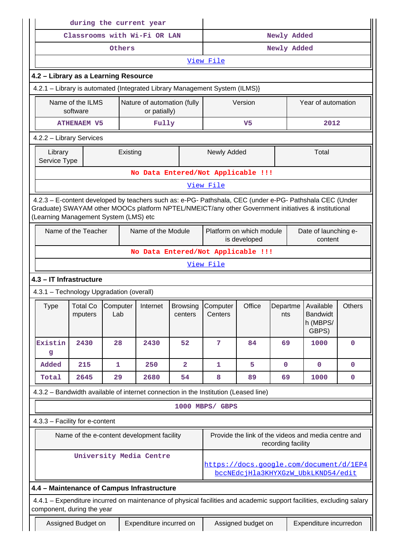|                                          |                                                                             |                 | during the current year                                                                                                                                                                                        |                            |                                                                               |                                          |                    |                                                     |               |
|------------------------------------------|-----------------------------------------------------------------------------|-----------------|----------------------------------------------------------------------------------------------------------------------------------------------------------------------------------------------------------------|----------------------------|-------------------------------------------------------------------------------|------------------------------------------|--------------------|-----------------------------------------------------|---------------|
|                                          |                                                                             |                 | Classrooms with Wi-Fi OR LAN                                                                                                                                                                                   |                            | Newly Added                                                                   |                                          |                    |                                                     |               |
|                                          |                                                                             | Others          |                                                                                                                                                                                                                |                            | Newly Added                                                                   |                                          |                    |                                                     |               |
|                                          |                                                                             |                 |                                                                                                                                                                                                                |                            | View File                                                                     |                                          |                    |                                                     |               |
| 4.2 - Library as a Learning Resource     |                                                                             |                 |                                                                                                                                                                                                                |                            |                                                                               |                                          |                    |                                                     |               |
|                                          | 4.2.1 - Library is automated {Integrated Library Management System (ILMS)}  |                 |                                                                                                                                                                                                                |                            |                                                                               |                                          |                    |                                                     |               |
|                                          | Name of the ILMS<br>Nature of automation (fully<br>or patially)<br>software |                 |                                                                                                                                                                                                                |                            | Version                                                                       |                                          | Year of automation |                                                     |               |
|                                          | Fully<br><b>ATHENAEM V5</b>                                                 |                 |                                                                                                                                                                                                                |                            |                                                                               | V <sub>5</sub>                           |                    | 2012                                                |               |
| 4.2.2 - Library Services                 |                                                                             |                 |                                                                                                                                                                                                                |                            |                                                                               |                                          |                    |                                                     |               |
| Library<br>Service Type                  |                                                                             |                 | Existing                                                                                                                                                                                                       |                            | Newly Added                                                                   |                                          |                    | Total                                               |               |
|                                          |                                                                             |                 | No Data Entered/Not Applicable !!!                                                                                                                                                                             |                            |                                                                               |                                          |                    |                                                     |               |
|                                          |                                                                             |                 |                                                                                                                                                                                                                |                            | View File                                                                     |                                          |                    |                                                     |               |
| (Learning Management System (LMS) etc    |                                                                             |                 | 4.2.3 - E-content developed by teachers such as: e-PG- Pathshala, CEC (under e-PG- Pathshala CEC (Under<br>Graduate) SWAYAM other MOOCs platform NPTEL/NMEICT/any other Government initiatives & institutional |                            |                                                                               |                                          |                    |                                                     |               |
|                                          | Name of the Teacher                                                         |                 | Name of the Module                                                                                                                                                                                             |                            |                                                                               | Platform on which module<br>is developed |                    | Date of launching e-<br>content                     |               |
|                                          |                                                                             |                 |                                                                                                                                                                                                                |                            | No Data Entered/Not Applicable !!!                                            |                                          |                    |                                                     |               |
|                                          |                                                                             |                 |                                                                                                                                                                                                                |                            | View File                                                                     |                                          |                    |                                                     |               |
| 4.3 - IT Infrastructure                  |                                                                             |                 |                                                                                                                                                                                                                |                            |                                                                               |                                          |                    |                                                     |               |
| 4.3.1 - Technology Upgradation (overall) |                                                                             |                 |                                                                                                                                                                                                                |                            |                                                                               |                                          |                    |                                                     |               |
| <b>Type</b>                              | <b>Total Co</b><br>mputers                                                  | Computer<br>Lab | Internet                                                                                                                                                                                                       | <b>Browsing</b><br>centers | Computer<br>Centers                                                           | Office                                   | Departme<br>nts    | Available<br><b>Bandwidt</b><br>h (MBPS/<br>GBPS)   | <b>Others</b> |
| Existin<br>g                             | 2430                                                                        | 28              | 2430                                                                                                                                                                                                           | 52                         | 7                                                                             | 84                                       | 69                 | 1000                                                | $\mathbf 0$   |
| Added                                    | 215                                                                         | 1               | 250                                                                                                                                                                                                            | $\mathbf{2}$               | 1                                                                             | 5                                        | $\mathbf{0}$       | $\mathbf 0$                                         | 0             |
| Total                                    | 2645                                                                        | 29              | 2680                                                                                                                                                                                                           | 54                         | 8                                                                             | 89                                       | 69                 | 1000                                                | $\mathbf 0$   |
|                                          |                                                                             |                 | 4.3.2 - Bandwidth available of internet connection in the Institution (Leased line)                                                                                                                            |                            |                                                                               |                                          |                    |                                                     |               |
|                                          |                                                                             |                 |                                                                                                                                                                                                                |                            | 1000 MBPS/ GBPS                                                               |                                          |                    |                                                     |               |
| 4.3.3 - Facility for e-content           |                                                                             |                 |                                                                                                                                                                                                                |                            |                                                                               |                                          |                    |                                                     |               |
|                                          |                                                                             |                 | Name of the e-content development facility                                                                                                                                                                     |                            |                                                                               |                                          | recording facility | Provide the link of the videos and media centre and |               |
|                                          |                                                                             |                 | University Media Centre                                                                                                                                                                                        |                            | https://docs.google.com/document/d/1EP4<br>bccNEdcjHla3KHYXGzW UbkLKND54/edit |                                          |                    |                                                     |               |
|                                          |                                                                             |                 | 4.4 - Maintenance of Campus Infrastructure                                                                                                                                                                     |                            |                                                                               |                                          |                    |                                                     |               |
| component, during the year               |                                                                             |                 | 4.4.1 – Expenditure incurred on maintenance of physical facilities and academic support facilities, excluding salary                                                                                           |                            |                                                                               |                                          |                    |                                                     |               |
|                                          | Assigned Budget on                                                          |                 | Expenditure incurred on                                                                                                                                                                                        |                            | Expenditure incurredon<br>Assigned budget on                                  |                                          |                    |                                                     |               |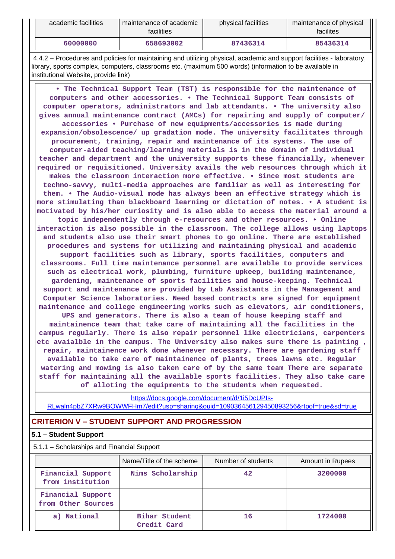| academic facilities | maintenance of academic<br>facilities | physical facilities | maintenance of physical<br>facilites |
|---------------------|---------------------------------------|---------------------|--------------------------------------|
| 60000000            | 658693002                             | 87436314            | 85436314                             |

 4.4.2 – Procedures and policies for maintaining and utilizing physical, academic and support facilities - laboratory, library, sports complex, computers, classrooms etc. (maximum 500 words) (information to be available in institutional Website, provide link)

 **• The Technical Support Team (TST) is responsible for the maintenance of computers and other accessories. • The Technical Support Team consists of computer operators, administrators and lab attendants. • The university also gives annual maintenance contract (AMCs) for repairing and supply of computer/ accessories • Purchase of new equipments/accessories is made during expansion/obsolescence/ up gradation mode. The university facilitates through procurement, training, repair and maintenance of its systems. The use of computer-aided teaching/learning materials is in the domain of individual teacher and department and the university supports these financially, whenever required or requisitioned. University avails the web resources through which it makes the classroom interaction more effective. • Since most students are techno-savvy, multi-media approaches are familiar as well as interesting for them. • The Audio-visual mode has always been an effective strategy which is more stimulating than blackboard learning or dictation of notes. • A student is motivated by his/her curiosity and is also able to access the material around a topic independently through e-resources and other resources. • Online interaction is also possible in the classroom. The college allows using laptops and students also use their smart phones to go online. There are established procedures and systems for utilizing and maintaining physical and academic support facilities such as library, sports facilities, computers and classrooms. Full time maintenance personnel are available to provide services such as electrical work, plumbing, furniture upkeep, building maintenance, gardening, maintenance of sports facilities and house-keeping. Technical support and maintenance are provided by Lab Assistants in the Management and Computer Science laboratories. Need based contracts are signed for equipment maintenance and college engineering works such as elevators, air conditioners, UPS and generators. There is also a team of house keeping staff and maintainence team that take care of maintaining all the facilities in the campus regularly. There is also repair personnel like electricians, carpenters etc avaialble in the campus. The University also makes sure there is painting , repair, maintainence work done whenever necessary. There are gardening staff available to take care of maintainence of plants, trees lawns etc. Regular watering and mowing is also taken care of by the same team There are separate staff for maintaining all the available sports facilities. They also take care**

**of alloting the equipments to the students when requested.**

[https://docs.google.com/document/d/1i5DcUPIs-](https://docs.google.com/document/d/1i5DcUPIs-RLwaln4pbZ7XRw9BOWWFHm7/edit?usp=sharing&ouid=109036456129450893256&rtpof=true&sd=true)[RLwaln4pbZ7XRw9BOWWFHm7/edit?usp=sharing&ouid=109036456129450893256&rtpof=true&sd=true](https://docs.google.com/document/d/1i5DcUPIs-RLwaln4pbZ7XRw9BOWWFHm7/edit?usp=sharing&ouid=109036456129450893256&rtpof=true&sd=true)

# **CRITERION V – STUDENT SUPPORT AND PROGRESSION**

## **5.1 – Student Support**

5.1.1 – Scholarships and Financial Support

|                                         | Name/Title of the scheme     | Number of students | Amount in Rupees |
|-----------------------------------------|------------------------------|--------------------|------------------|
| Financial Support<br>from institution   | Nims Scholarship             | 42                 | 3200000          |
| Financial Support<br>from Other Sources |                              |                    |                  |
| a) National                             | Bihar Student<br>Credit Card | 16                 | 1724000          |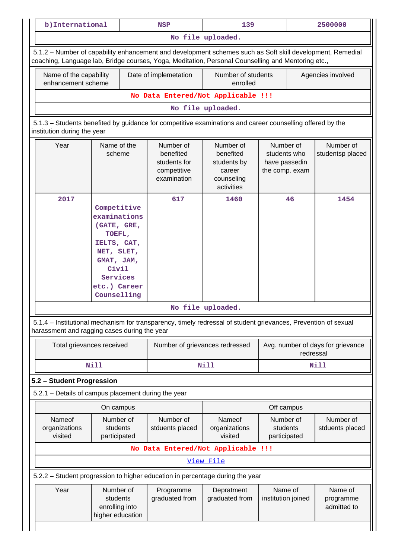|                                                                                                                                                                                                                 | b) International                                                                                                                                    | <b>NSP</b>                                                                    | 139                                                                         |                                                              | 2500000           |                                   |  |
|-----------------------------------------------------------------------------------------------------------------------------------------------------------------------------------------------------------------|-----------------------------------------------------------------------------------------------------------------------------------------------------|-------------------------------------------------------------------------------|-----------------------------------------------------------------------------|--------------------------------------------------------------|-------------------|-----------------------------------|--|
|                                                                                                                                                                                                                 |                                                                                                                                                     |                                                                               | No file uploaded.                                                           |                                                              |                   |                                   |  |
| 5.1.2 - Number of capability enhancement and development schemes such as Soft skill development, Remedial<br>coaching, Language lab, Bridge courses, Yoga, Meditation, Personal Counselling and Mentoring etc., |                                                                                                                                                     |                                                                               |                                                                             |                                                              |                   |                                   |  |
| Name of the capability<br>enhancement scheme                                                                                                                                                                    |                                                                                                                                                     | Date of implemetation                                                         | Number of students<br>enrolled                                              |                                                              | Agencies involved |                                   |  |
| No Data Entered/Not Applicable !!!                                                                                                                                                                              |                                                                                                                                                     |                                                                               |                                                                             |                                                              |                   |                                   |  |
| No file uploaded.                                                                                                                                                                                               |                                                                                                                                                     |                                                                               |                                                                             |                                                              |                   |                                   |  |
| 5.1.3 – Students benefited by guidance for competitive examinations and career counselling offered by the<br>institution during the year                                                                        |                                                                                                                                                     |                                                                               |                                                                             |                                                              |                   |                                   |  |
| Year                                                                                                                                                                                                            | Name of the<br>scheme                                                                                                                               | Number of<br>benefited<br>students for<br>competitive<br>examination          | Number of<br>benefited<br>students by<br>career<br>counseling<br>activities | Number of<br>students who<br>have passedin<br>the comp. exam |                   | Number of<br>studentsp placed     |  |
| 2017                                                                                                                                                                                                            | Competitive<br>examinations<br>(GATE, GRE,<br>TOEFL,<br>IELTS, CAT,<br>NET, SLET,<br>GMAT, JAM,<br>Civil<br>Services<br>etc.) Career<br>Counselling | 617                                                                           | 1460                                                                        | 46                                                           |                   | 1454                              |  |
| No file uploaded.                                                                                                                                                                                               |                                                                                                                                                     |                                                                               |                                                                             |                                                              |                   |                                   |  |
| 5.1.4 – Institutional mechanism for transparency, timely redressal of student grievances, Prevention of sexual<br>harassment and ragging cases during the year                                                  |                                                                                                                                                     |                                                                               |                                                                             |                                                              |                   |                                   |  |
|                                                                                                                                                                                                                 |                                                                                                                                                     |                                                                               |                                                                             |                                                              |                   |                                   |  |
|                                                                                                                                                                                                                 | Total grievances received                                                                                                                           | Number of grievances redressed                                                |                                                                             |                                                              | redressal         |                                   |  |
|                                                                                                                                                                                                                 | <b>Nill</b>                                                                                                                                         |                                                                               | <b>Nill</b>                                                                 |                                                              |                   | <b>Nill</b>                       |  |
|                                                                                                                                                                                                                 |                                                                                                                                                     |                                                                               |                                                                             |                                                              |                   |                                   |  |
|                                                                                                                                                                                                                 |                                                                                                                                                     |                                                                               |                                                                             |                                                              |                   |                                   |  |
|                                                                                                                                                                                                                 | On campus                                                                                                                                           |                                                                               |                                                                             | Off campus                                                   |                   | Avg. number of days for grievance |  |
| Nameof<br>organizations<br>visited                                                                                                                                                                              | Number of<br>students<br>participated                                                                                                               | Number of<br>stduents placed                                                  | Nameof<br>organizations<br>visited                                          | Number of<br>students<br>participated                        |                   | Number of                         |  |
|                                                                                                                                                                                                                 |                                                                                                                                                     | No Data Entered/Not Applicable !!!                                            |                                                                             |                                                              |                   |                                   |  |
|                                                                                                                                                                                                                 |                                                                                                                                                     |                                                                               | View File                                                                   |                                                              |                   |                                   |  |
| 5.2 - Student Progression<br>5.2.1 - Details of campus placement during the year                                                                                                                                |                                                                                                                                                     | 5.2.2 - Student progression to higher education in percentage during the year |                                                                             |                                                              |                   | stduents placed                   |  |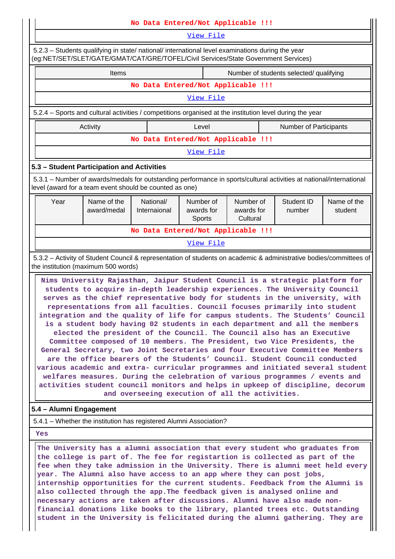| No Data Entered/Not Applicable !!!                                                                                                                                                                                                                                                                                                                                                                                                                                                                                                                                                                                                                                                                                                                                                                                                                                                                                                                                                                                                                                                                                                                                                                                                                                                                                                                                                       |                                                                                                                     |                                    |                                   |                                     |  |                                         |                        |
|------------------------------------------------------------------------------------------------------------------------------------------------------------------------------------------------------------------------------------------------------------------------------------------------------------------------------------------------------------------------------------------------------------------------------------------------------------------------------------------------------------------------------------------------------------------------------------------------------------------------------------------------------------------------------------------------------------------------------------------------------------------------------------------------------------------------------------------------------------------------------------------------------------------------------------------------------------------------------------------------------------------------------------------------------------------------------------------------------------------------------------------------------------------------------------------------------------------------------------------------------------------------------------------------------------------------------------------------------------------------------------------|---------------------------------------------------------------------------------------------------------------------|------------------------------------|-----------------------------------|-------------------------------------|--|-----------------------------------------|------------------------|
| View File                                                                                                                                                                                                                                                                                                                                                                                                                                                                                                                                                                                                                                                                                                                                                                                                                                                                                                                                                                                                                                                                                                                                                                                                                                                                                                                                                                                |                                                                                                                     |                                    |                                   |                                     |  |                                         |                        |
| 5.2.3 - Students qualifying in state/ national/ international level examinations during the year<br>(eg:NET/SET/SLET/GATE/GMAT/CAT/GRE/TOFEL/Civil Services/State Government Services)                                                                                                                                                                                                                                                                                                                                                                                                                                                                                                                                                                                                                                                                                                                                                                                                                                                                                                                                                                                                                                                                                                                                                                                                   |                                                                                                                     |                                    |                                   |                                     |  |                                         |                        |
|                                                                                                                                                                                                                                                                                                                                                                                                                                                                                                                                                                                                                                                                                                                                                                                                                                                                                                                                                                                                                                                                                                                                                                                                                                                                                                                                                                                          | Items                                                                                                               |                                    |                                   |                                     |  | Number of students selected/ qualifying |                        |
|                                                                                                                                                                                                                                                                                                                                                                                                                                                                                                                                                                                                                                                                                                                                                                                                                                                                                                                                                                                                                                                                                                                                                                                                                                                                                                                                                                                          |                                                                                                                     | No Data Entered/Not Applicable !!! |                                   |                                     |  |                                         |                        |
| View File                                                                                                                                                                                                                                                                                                                                                                                                                                                                                                                                                                                                                                                                                                                                                                                                                                                                                                                                                                                                                                                                                                                                                                                                                                                                                                                                                                                |                                                                                                                     |                                    |                                   |                                     |  |                                         |                        |
|                                                                                                                                                                                                                                                                                                                                                                                                                                                                                                                                                                                                                                                                                                                                                                                                                                                                                                                                                                                                                                                                                                                                                                                                                                                                                                                                                                                          | 5.2.4 – Sports and cultural activities / competitions organised at the institution level during the year            |                                    |                                   |                                     |  |                                         |                        |
|                                                                                                                                                                                                                                                                                                                                                                                                                                                                                                                                                                                                                                                                                                                                                                                                                                                                                                                                                                                                                                                                                                                                                                                                                                                                                                                                                                                          | Activity                                                                                                            |                                    | Level                             |                                     |  | <b>Number of Participants</b>           |                        |
|                                                                                                                                                                                                                                                                                                                                                                                                                                                                                                                                                                                                                                                                                                                                                                                                                                                                                                                                                                                                                                                                                                                                                                                                                                                                                                                                                                                          |                                                                                                                     | No Data Entered/Not Applicable !!! |                                   |                                     |  |                                         |                        |
|                                                                                                                                                                                                                                                                                                                                                                                                                                                                                                                                                                                                                                                                                                                                                                                                                                                                                                                                                                                                                                                                                                                                                                                                                                                                                                                                                                                          |                                                                                                                     |                                    | View File                         |                                     |  |                                         |                        |
| 5.3 - Student Participation and Activities                                                                                                                                                                                                                                                                                                                                                                                                                                                                                                                                                                                                                                                                                                                                                                                                                                                                                                                                                                                                                                                                                                                                                                                                                                                                                                                                               |                                                                                                                     |                                    |                                   |                                     |  |                                         |                        |
| level (award for a team event should be counted as one)                                                                                                                                                                                                                                                                                                                                                                                                                                                                                                                                                                                                                                                                                                                                                                                                                                                                                                                                                                                                                                                                                                                                                                                                                                                                                                                                  | 5.3.1 – Number of awards/medals for outstanding performance in sports/cultural activities at national/international |                                    |                                   |                                     |  |                                         |                        |
| Year                                                                                                                                                                                                                                                                                                                                                                                                                                                                                                                                                                                                                                                                                                                                                                                                                                                                                                                                                                                                                                                                                                                                                                                                                                                                                                                                                                                     | Name of the<br>award/medal                                                                                          | National/<br>Internaional          | Number of<br>awards for<br>Sports | Number of<br>awards for<br>Cultural |  | Student ID<br>number                    | Name of the<br>student |
|                                                                                                                                                                                                                                                                                                                                                                                                                                                                                                                                                                                                                                                                                                                                                                                                                                                                                                                                                                                                                                                                                                                                                                                                                                                                                                                                                                                          |                                                                                                                     | No Data Entered/Not Applicable !!! |                                   |                                     |  |                                         |                        |
|                                                                                                                                                                                                                                                                                                                                                                                                                                                                                                                                                                                                                                                                                                                                                                                                                                                                                                                                                                                                                                                                                                                                                                                                                                                                                                                                                                                          |                                                                                                                     |                                    | View File                         |                                     |  |                                         |                        |
|                                                                                                                                                                                                                                                                                                                                                                                                                                                                                                                                                                                                                                                                                                                                                                                                                                                                                                                                                                                                                                                                                                                                                                                                                                                                                                                                                                                          |                                                                                                                     |                                    |                                   |                                     |  |                                         |                        |
| 5.3.2 - Activity of Student Council & representation of students on academic & administrative bodies/committees of<br>the institution (maximum 500 words)<br>Nims University Rajasthan, Jaipur Student Council is a strategic platform for<br>students to acquire in-depth leadership experiences. The University Council<br>serves as the chief representative body for students in the university, with<br>representations from all faculties. Council focuses primarily into student<br>integration and the quality of life for campus students. The Students' Council<br>is a student body having 02 students in each department and all the members<br>elected the president of the Council. The Council also has an Executive<br>Committee composed of 10 members. The President, two Vice Presidents, the<br>General Secretary, two Joint Secretaries and four Executive Committee Members<br>are the office bearers of the Students' Council. Student Council conducted<br>various academic and extra- curricular programmes and initiated several student<br>welfares measures. During the celebration of various programmes / events and<br>activities student council monitors and helps in upkeep of discipline, decorum<br>and overseeing execution of all the activities.<br>5.4 - Alumni Engagement<br>5.4.1 – Whether the institution has registered Alumni Association? |                                                                                                                     |                                    |                                   |                                     |  |                                         |                        |
|                                                                                                                                                                                                                                                                                                                                                                                                                                                                                                                                                                                                                                                                                                                                                                                                                                                                                                                                                                                                                                                                                                                                                                                                                                                                                                                                                                                          | The University has a alumni association that every student who graduates from                                       |                                    |                                   |                                     |  |                                         |                        |

**the college is part of. The fee for registartion is collected as part of the fee when they take admission in the University. There is alumni meet held every year. The Alumni also have access to an app where they can post jobs, internship opportunities for the current students. Feedback from the Alumni is also collected through the app.The feedback given is analysed online and necessary actions are taken after discussions. Alumni have also made nonfinancial donations like books to the library, planted trees etc. Outstanding student in the University is felicitated during the alumni gathering. They are**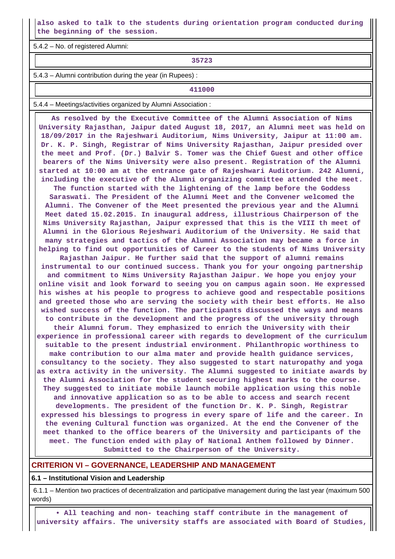**also asked to talk to the students during orientation program conducted during the beginning of the session.**

5.4.2 – No. of registered Alumni:

**35723**

5.4.3 – Alumni contribution during the year (in Rupees) :

**411000**

5.4.4 – Meetings/activities organized by Alumni Association :

 **As resolved by the Executive Committee of the Alumni Association of Nims University Rajasthan, Jaipur dated August 18, 2017, an Alumni meet was held on 18/09/2017 in the Rajeshwari Auditorium, Nims University, Jaipur at 11:00 am. Dr. K. P. Singh, Registrar of Nims University Rajasthan, Jaipur presided over the meet and Prof. (Dr.) Balvir S. Tomer was the Chief Guest and other office bearers of the Nims University were also present. Registration of the Alumni started at 10:00 am at the entrance gate of Rajeshwari Auditorium. 242 Alumni, including the executive of the Alumni organizing committee attended the meet.**

**The function started with the lightening of the lamp before the Goddess Saraswati. The President of the Alumni Meet and the Convener welcomed the Alumni. The Convener of the Meet presented the previous year and the Alumni Meet dated 15.02.2015. In inaugural address, illustrious Chairperson of the Nims University Rajasthan, Jaipur expressed that this is the VIII th meet of Alumni in the Glorious Rejeshwari Auditorium of the University. He said that many strategies and tactics of the Alumni Association may became a force in helping to find out opportunities of Career to the students of Nims University**

**Rajasthan Jaipur. He further said that the support of alumni remains instrumental to our continued success. Thank you for your ongoing partnership and commitment to Nims University Rajasthan Jaipur. We hope you enjoy your online visit and look forward to seeing you on campus again soon. He expressed his wishes at his people to progress to achieve good and respectable positions and greeted those who are serving the society with their best efforts. He also wished success of the function. The participants discussed the ways and means to contribute in the development and the progress of the university through their Alumni forum. They emphasized to enrich the University with their experience in professional career with regards to development of the curriculum suitable to the present industrial environment. Philanthropic worthiness to make contribution to our alma mater and provide health guidance services, consultancy to the society. They also suggested to start naturopathy and yoga as extra activity in the university. The Alumni suggested to initiate awards by the Alumni Association for the student securing highest marks to the course. They suggested to initiate mobile launch mobile application using this noble and innovative application so as to be able to access and search recent developments. The president of the function Dr. K. P. Singh, Registrar expressed his blessings to progress in every spare of life and the career. In the evening Cultural function was organized. At the end the Convener of the meet thanked to the office bearers of the University and participants of the meet. The function ended with play of National Anthem followed by Dinner.**

**Submitted to the Chairperson of the University.**

### **CRITERION VI – GOVERNANCE, LEADERSHIP AND MANAGEMENT**

**6.1 – Institutional Vision and Leadership**

 6.1.1 – Mention two practices of decentralization and participative management during the last year (maximum 500 words)

 **• All teaching and non- teaching staff contribute in the management of university affairs. The university staffs are associated with Board of Studies,**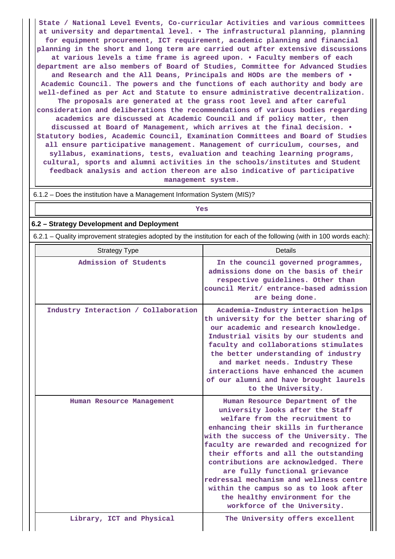**State / National Level Events, Co-curricular Activities and various committees at university and departmental level. • The infrastructural planning, planning for equipment procurement, ICT requirement, academic planning and financial planning in the short and long term are carried out after extensive discussions at various levels a time frame is agreed upon. • Faculty members of each department are also members of Board of Studies, Committee for Advanced Studies and Research and the All Deans, Principals and HODs are the members of • Academic Council. The powers and the functions of each authority and body are well-defined as per Act and Statute to ensure administrative decentralization. The proposals are generated at the grass root level and after careful consideration and deliberations the recommendations of various bodies regarding academics are discussed at Academic Council and if policy matter, then discussed at Board of Management, which arrives at the final decision. • Statutory bodies, Academic Council, Examination Committees and Board of Studies all ensure participative management. Management of curriculum, courses, and syllabus, examinations, tests, evaluation and teaching learning programs, cultural, sports and alumni activities in the schools/institutes and Student feedback analysis and action thereon are also indicative of participative management system.**

6.1.2 – Does the institution have a Management Information System (MIS)?

**Yes**

### **6.2 – Strategy Development and Deployment**

6.2.1 – Quality improvement strategies adopted by the institution for each of the following (with in 100 words each):

| <b>Strategy Type</b>                 | Details                                                                                                                                                                                                                                                                                                                                                                                                                                                                                                           |
|--------------------------------------|-------------------------------------------------------------------------------------------------------------------------------------------------------------------------------------------------------------------------------------------------------------------------------------------------------------------------------------------------------------------------------------------------------------------------------------------------------------------------------------------------------------------|
| Admission of Students                | In the council governed programmes,<br>admissions done on the basis of their<br>respective guidelines. Other than<br>council Merit/ entrance-based admission<br>are being done.                                                                                                                                                                                                                                                                                                                                   |
| Industry Interaction / Collaboration | Academia-Industry interaction helps<br>th university for the better sharing of<br>our academic and research knowledge.<br>Industrial visits by our students and<br>faculty and collaborations stimulates<br>the better understanding of industry<br>and market needs. Industry These<br>interactions have enhanced the acumen<br>of our alumni and have brought laurels<br>to the University.                                                                                                                     |
| Human Resource Management            | Human Resource Department of the<br>university looks after the Staff<br>welfare from the recruitment to<br>enhancing their skills in furtherance<br>with the success of the University. The<br>faculty are rewarded and recognized for<br>their efforts and all the outstanding<br>contributions are acknowledged. There<br>are fully functional grievance<br>redressal mechanism and wellness centre<br>within the campus so as to look after<br>the healthy environment for the<br>workforce of the University. |
| Library, ICT and Physical            | The University offers excellent                                                                                                                                                                                                                                                                                                                                                                                                                                                                                   |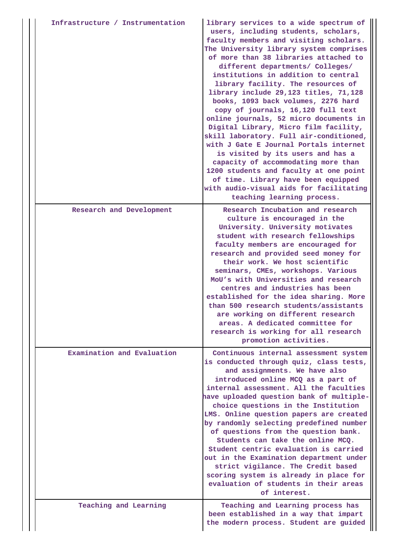| Infrastructure / Instrumentation | library services to a wide spectrum of<br>users, including students, scholars,<br>faculty members and visiting scholars.<br>The University library system comprises<br>of more than 38 libraries attached to<br>different departments/ Colleges/<br>institutions in addition to central<br>library facility. The resources of<br>library include 29,123 titles, 71,128<br>books, 1093 back volumes, 2276 hard<br>copy of journals, 16,120 full text<br>online journals, 52 micro documents in<br>Digital Library, Micro film facility,<br>skill laboratory. Full air-conditioned,<br>with J Gate E Journal Portals internet<br>is visited by its users and has a<br>capacity of accommodating more than<br>1200 students and faculty at one point<br>of time. Library have been equipped<br>with audio-visual aids for facilitating<br>teaching learning process. |
|----------------------------------|-------------------------------------------------------------------------------------------------------------------------------------------------------------------------------------------------------------------------------------------------------------------------------------------------------------------------------------------------------------------------------------------------------------------------------------------------------------------------------------------------------------------------------------------------------------------------------------------------------------------------------------------------------------------------------------------------------------------------------------------------------------------------------------------------------------------------------------------------------------------|
| Research and Development         | Research Incubation and research<br>culture is encouraged in the<br>University. University motivates<br>student with research fellowships<br>faculty members are encouraged for<br>research and provided seed money for<br>their work. We host scientific<br>seminars, CMEs, workshops. Various<br>MoU's with Universities and research<br>centres and industries has been<br>established for the idea sharing. More<br>than 500 research students/assistants<br>are working on different research<br>areas. A dedicated committee for<br>research is working for all research<br>promotion activities.                                                                                                                                                                                                                                                           |
| Examination and Evaluation       | Continuous internal assessment system<br>is conducted through quiz, class tests,<br>and assignments. We have also<br>introduced online MCQ as a part of<br>internal assessment. All the faculties<br>have uploaded question bank of multiple-<br>choice questions in the Institution<br>LMS. Online question papers are created<br>by randomly selecting predefined number<br>of questions from the question bank.<br>Students can take the online MCQ.<br>Student centric evaluation is carried<br>out in the Examination department under<br>strict vigilance. The Credit based<br>scoring system is already in place for<br>evaluation of students in their areas<br>of interest.                                                                                                                                                                              |
| Teaching and Learning            | Teaching and Learning process has<br>been established in a way that impart<br>the modern process. Student are guided                                                                                                                                                                                                                                                                                                                                                                                                                                                                                                                                                                                                                                                                                                                                              |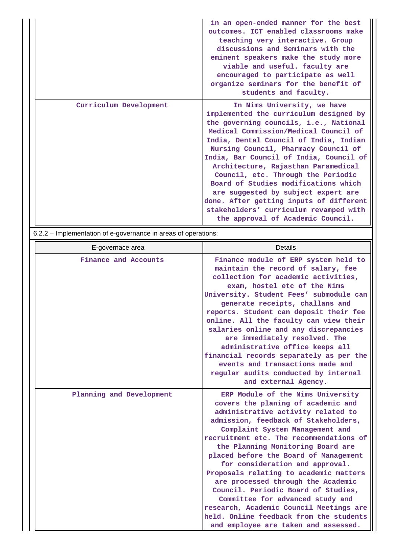|                        | in an open-ended manner for the best<br>outcomes. ICT enabled classrooms make<br>teaching very interactive. Group<br>discussions and Seminars with the<br>eminent speakers make the study more<br>viable and useful. faculty are<br>encouraged to participate as well<br>organize seminars for the benefit of<br>students and faculty.                                                                                                                                                                                                                                      |
|------------------------|-----------------------------------------------------------------------------------------------------------------------------------------------------------------------------------------------------------------------------------------------------------------------------------------------------------------------------------------------------------------------------------------------------------------------------------------------------------------------------------------------------------------------------------------------------------------------------|
| Curriculum Development | In Nims University, we have<br>implemented the curriculum designed by<br>the governing councils, i.e., National<br>Medical Commission/Medical Council of<br>India, Dental Council of India, Indian<br>Nursing Council, Pharmacy Council of<br>India, Bar Council of India, Council of<br>Architecture, Rajasthan Paramedical<br>Council, etc. Through the Periodic<br>Board of Studies modifications which<br>are suggested by subject expert are<br>done. After getting inputs of different<br>stakeholders' curriculum revamped with<br>the approval of Academic Council. |

6.2.2 – Implementation of e-governance in areas of operations:

| E-governace area         | Details                                                                                                                                                                                                                                                                                                                                                                                                                                                                                                                                                                                                                                       |
|--------------------------|-----------------------------------------------------------------------------------------------------------------------------------------------------------------------------------------------------------------------------------------------------------------------------------------------------------------------------------------------------------------------------------------------------------------------------------------------------------------------------------------------------------------------------------------------------------------------------------------------------------------------------------------------|
| Finance and Accounts     | Finance module of ERP system held to<br>maintain the record of salary, fee<br>collection for academic activities,<br>exam, hostel etc of the Nims<br>University. Student Fees' submodule can<br>generate receipts, challans and<br>reports. Student can deposit their fee<br>online. All the faculty can view their<br>salaries online and any discrepancies<br>are immediately resolved. The<br>administrative office keeps all<br>financial records separately as per the<br>events and transactions made and<br>regular audits conducted by internal<br>and external Agency.                                                               |
| Planning and Development | ERP Module of the Nims University<br>covers the planing of academic and<br>administrative activity related to<br>admission, feedback of Stakeholders,<br>Complaint System Management and<br>recruitment etc. The recommendations of<br>the Planning Monitoring Board are<br>placed before the Board of Management<br>for consideration and approval.<br>Proposals relating to academic matters<br>are processed through the Academic<br>Council. Periodic Board of Studies,<br>Committee for advanced study and<br>research, Academic Council Meetings are<br>held. Online feedback from the students<br>and employee are taken and assessed. |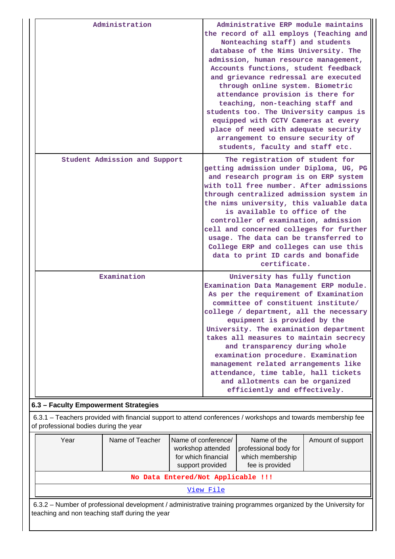| Administration                | Administrative ERP module maintains<br>the record of all employs (Teaching and<br>Nonteaching staff) and students<br>database of the Nims University. The<br>admission, human resource management,<br>Accounts functions, student feedback<br>and grievance redressal are executed<br>through online system. Biometric<br>attendance provision is there for<br>teaching, non-teaching staff and<br>students too. The University campus is<br>equipped with CCTV Cameras at every<br>place of need with adequate security<br>arrangement to ensure security of<br>students, faculty and staff etc. |
|-------------------------------|---------------------------------------------------------------------------------------------------------------------------------------------------------------------------------------------------------------------------------------------------------------------------------------------------------------------------------------------------------------------------------------------------------------------------------------------------------------------------------------------------------------------------------------------------------------------------------------------------|
| Student Admission and Support | The registration of student for<br>getting admission under Diploma, UG, PG<br>and research program is on ERP system<br>with toll free number. After admissions<br>through centralized admission system in<br>the nims university, this valuable data<br>is available to office of the<br>controller of examination, admission<br>cell and concerned colleges for further<br>usage. The data can be transferred to<br>College ERP and colleges can use this<br>data to print ID cards and bonafide<br>certificate.                                                                                 |
| Examination                   | University has fully function<br>Examination Data Management ERP module.<br>As per the requirement of Examination<br>committee of constituent institute/<br>college / department, all the necessary<br>equipment is provided by the<br>University. The examination department<br>takes all measures to maintain secrecy<br>and transparency during whole<br>examination procedure. Examination<br>management related arrangements like<br>attendance, time table, hall tickets<br>and allotments can be organized<br>efficiently and effectively.                                                 |

## **6.3 – Faculty Empowerment Strategies**

 6.3.1 – Teachers provided with financial support to attend conferences / workshops and towards membership fee of professional bodies during the year

| Year                               | Name of Teacher | Name of conference/<br>workshop attended<br>for which financial<br>support provided | Name of the<br>professional body for<br>which membership<br>fee is provided | Amount of support |  |  |  |
|------------------------------------|-----------------|-------------------------------------------------------------------------------------|-----------------------------------------------------------------------------|-------------------|--|--|--|
| No Data Entered/Not Applicable !!! |                 |                                                                                     |                                                                             |                   |  |  |  |
| View File                          |                 |                                                                                     |                                                                             |                   |  |  |  |

 6.3.2 – Number of professional development / administrative training programmes organized by the University for teaching and non teaching staff during the year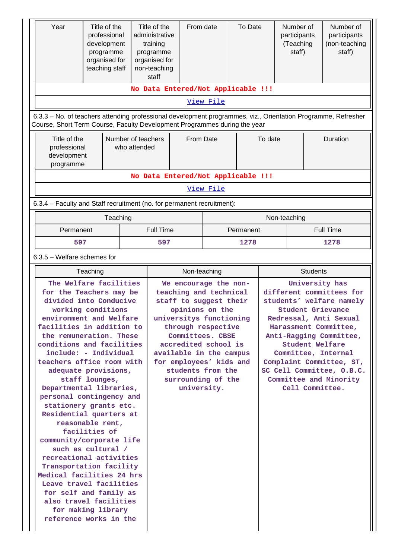| Year<br>Title of the<br>professional<br>development<br>programme<br>organised for<br>teaching staff                                                                                                                                                                                                                                                                                                                                                                                                                                                                                                                                                                                                                                    |                                    | Title of the<br>administrative<br>training<br>programme<br>organised for<br>non-teaching<br>staff | From date                                                                                                                                                                                                                                                                                                 |           | To Date   |                                                                                                                                                                                                                                                                                                                                  |              |      | Number of<br>participants<br>(Teaching<br>staff) |  | Number of<br>participants<br>(non-teaching<br>staff) |
|----------------------------------------------------------------------------------------------------------------------------------------------------------------------------------------------------------------------------------------------------------------------------------------------------------------------------------------------------------------------------------------------------------------------------------------------------------------------------------------------------------------------------------------------------------------------------------------------------------------------------------------------------------------------------------------------------------------------------------------|------------------------------------|---------------------------------------------------------------------------------------------------|-----------------------------------------------------------------------------------------------------------------------------------------------------------------------------------------------------------------------------------------------------------------------------------------------------------|-----------|-----------|----------------------------------------------------------------------------------------------------------------------------------------------------------------------------------------------------------------------------------------------------------------------------------------------------------------------------------|--------------|------|--------------------------------------------------|--|------------------------------------------------------|
|                                                                                                                                                                                                                                                                                                                                                                                                                                                                                                                                                                                                                                                                                                                                        |                                    | No Data Entered/Not Applicable !!!                                                                |                                                                                                                                                                                                                                                                                                           |           |           |                                                                                                                                                                                                                                                                                                                                  |              |      |                                                  |  |                                                      |
|                                                                                                                                                                                                                                                                                                                                                                                                                                                                                                                                                                                                                                                                                                                                        |                                    |                                                                                                   |                                                                                                                                                                                                                                                                                                           | View File |           |                                                                                                                                                                                                                                                                                                                                  |              |      |                                                  |  |                                                      |
| 6.3.3 - No. of teachers attending professional development programmes, viz., Orientation Programme, Refresher<br>Course, Short Term Course, Faculty Development Programmes during the year                                                                                                                                                                                                                                                                                                                                                                                                                                                                                                                                             |                                    |                                                                                                   |                                                                                                                                                                                                                                                                                                           |           |           |                                                                                                                                                                                                                                                                                                                                  |              |      |                                                  |  |                                                      |
| Title of the<br>professional<br>development<br>programme                                                                                                                                                                                                                                                                                                                                                                                                                                                                                                                                                                                                                                                                               | Number of teachers<br>who attended |                                                                                                   | From Date                                                                                                                                                                                                                                                                                                 |           |           | To date                                                                                                                                                                                                                                                                                                                          |              |      | Duration                                         |  |                                                      |
|                                                                                                                                                                                                                                                                                                                                                                                                                                                                                                                                                                                                                                                                                                                                        |                                    | No Data Entered/Not Applicable !!!                                                                |                                                                                                                                                                                                                                                                                                           |           |           |                                                                                                                                                                                                                                                                                                                                  |              |      |                                                  |  |                                                      |
|                                                                                                                                                                                                                                                                                                                                                                                                                                                                                                                                                                                                                                                                                                                                        |                                    |                                                                                                   |                                                                                                                                                                                                                                                                                                           | View File |           |                                                                                                                                                                                                                                                                                                                                  |              |      |                                                  |  |                                                      |
| 6.3.4 - Faculty and Staff recruitment (no. for permanent recruitment):                                                                                                                                                                                                                                                                                                                                                                                                                                                                                                                                                                                                                                                                 |                                    |                                                                                                   |                                                                                                                                                                                                                                                                                                           |           |           |                                                                                                                                                                                                                                                                                                                                  |              |      |                                                  |  |                                                      |
|                                                                                                                                                                                                                                                                                                                                                                                                                                                                                                                                                                                                                                                                                                                                        | Teaching                           |                                                                                                   |                                                                                                                                                                                                                                                                                                           |           |           |                                                                                                                                                                                                                                                                                                                                  | Non-teaching |      |                                                  |  |                                                      |
| Permanent                                                                                                                                                                                                                                                                                                                                                                                                                                                                                                                                                                                                                                                                                                                              |                                    | <b>Full Time</b>                                                                                  |                                                                                                                                                                                                                                                                                                           |           | Permanent |                                                                                                                                                                                                                                                                                                                                  |              |      | <b>Full Time</b>                                 |  |                                                      |
| 597                                                                                                                                                                                                                                                                                                                                                                                                                                                                                                                                                                                                                                                                                                                                    |                                    |                                                                                                   |                                                                                                                                                                                                                                                                                                           |           | 1278      |                                                                                                                                                                                                                                                                                                                                  |              | 1278 |                                                  |  |                                                      |
| $6.3.5$ – Welfare schemes for                                                                                                                                                                                                                                                                                                                                                                                                                                                                                                                                                                                                                                                                                                          |                                    |                                                                                                   |                                                                                                                                                                                                                                                                                                           |           |           |                                                                                                                                                                                                                                                                                                                                  |              |      |                                                  |  |                                                      |
| Teaching                                                                                                                                                                                                                                                                                                                                                                                                                                                                                                                                                                                                                                                                                                                               |                                    |                                                                                                   | Non-teaching                                                                                                                                                                                                                                                                                              |           |           | <b>Students</b>                                                                                                                                                                                                                                                                                                                  |              |      |                                                  |  |                                                      |
| The Welfare facilities<br>for the Teachers may be<br>divided into Conducive<br>working conditions<br>environment and Welfare<br>facilities in addition to<br>the remuneration. These<br>conditions and facilities<br>include: - Individual<br>teachers office room with<br>adequate provisions,<br>staff lounges,<br>Departmental libraries,<br>personal contingency and<br>stationery grants etc.<br>Residential quarters at<br>reasonable rent,<br>facilities of<br>community/corporate life<br>such as cultural /<br>recreational activities<br>Transportation facility<br>Medical facilities 24 hrs<br>Leave travel facilities<br>for self and family as<br>also travel facilities<br>for making library<br>reference works in the |                                    |                                                                                                   | We encourage the non-<br>teaching and technical<br>staff to suggest their<br>opinions on the<br>universitys functioning<br>through respective<br>Committees. CBSE<br>accredited school is<br>available in the campus<br>for employees' kids and<br>students from the<br>surrounding of the<br>university. |           |           | University has<br>different committees for<br>students' welfare namely<br><b>Student Grievance</b><br>Redressal, Anti Sexual<br>Harassment Committee,<br>Anti-Ragging Committee,<br>Student Welfare<br>Committee, Internal<br>Complaint Committee, ST,<br>SC Cell Committee, O.B.C.<br>Committee and Minority<br>Cell Committee. |              |      |                                                  |  |                                                      |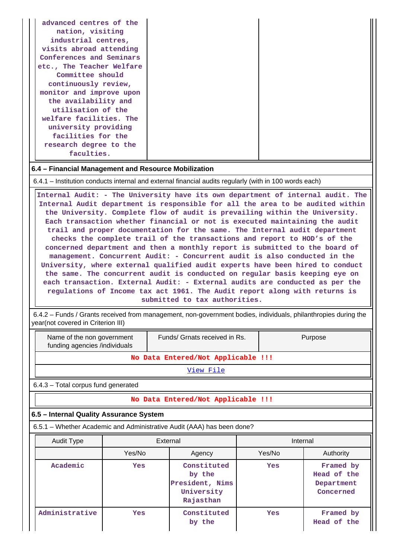|--|

#### **6.4 – Financial Management and Resource Mobilization**

6.4.1 – Institution conducts internal and external financial audits regularly (with in 100 words each)

 **Internal Audit: - The University have its own department of internal audit. The Internal Audit department is responsible for all the area to be audited within the University. Complete flow of audit is prevailing within the University. Each transaction whether financial or not is executed maintaining the audit trail and proper documentation for the same. The Internal audit department checks the complete trail of the transactions and report to HOD's of the concerned department and then a monthly report is submitted to the board of management. Concurrent Audit: - Concurrent audit is also conducted in the University, where external qualified audit experts have been hired to conduct the same. The concurrent audit is conducted on regular basis keeping eye on each transaction. External Audit: - External audits are conducted as per the regulations of Income tax act 1961. The Audit report along with returns is submitted to tax authorities.**

 6.4.2 – Funds / Grants received from management, non-government bodies, individuals, philanthropies during the year(not covered in Criterion III)

| Funds/ Grnats received in Rs.<br>Purpose<br>Name of the non government<br>funding agencies /individuals |                                    |                                                                        |        |                                                     |  |  |  |  |  |  |
|---------------------------------------------------------------------------------------------------------|------------------------------------|------------------------------------------------------------------------|--------|-----------------------------------------------------|--|--|--|--|--|--|
|                                                                                                         |                                    | No Data Entered/Not Applicable !!!                                     |        |                                                     |  |  |  |  |  |  |
|                                                                                                         | <u>View File</u>                   |                                                                        |        |                                                     |  |  |  |  |  |  |
| $6.4.3$ – Total corpus fund generated                                                                   |                                    |                                                                        |        |                                                     |  |  |  |  |  |  |
|                                                                                                         | No Data Entered/Not Applicable !!! |                                                                        |        |                                                     |  |  |  |  |  |  |
| 6.5 - Internal Quality Assurance System                                                                 |                                    |                                                                        |        |                                                     |  |  |  |  |  |  |
|                                                                                                         |                                    | 6.5.1 – Whether Academic and Administrative Audit (AAA) has been done? |        |                                                     |  |  |  |  |  |  |
| <b>Audit Type</b>                                                                                       |                                    | External                                                               |        | Internal                                            |  |  |  |  |  |  |
|                                                                                                         | Yes/No                             | Agency                                                                 | Yes/No | Authority                                           |  |  |  |  |  |  |
| Academic                                                                                                | Yes                                | Constituted<br>by the<br>President, Nims<br>University<br>Rajasthan    | Yes    | Framed by<br>Head of the<br>Department<br>Concerned |  |  |  |  |  |  |
| Administrative                                                                                          | Yes                                | Constituted<br>by the                                                  | Yes    | Framed by<br>Head of the                            |  |  |  |  |  |  |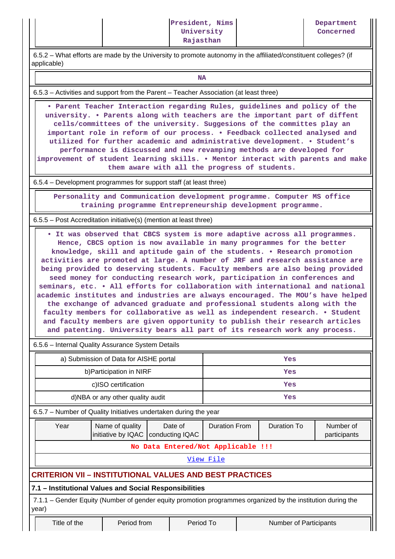6.5.2 – What efforts are made by the University to promote autonomy in the affiliated/constituent colleges? (if applicable)

## **NA**

6.5.3 – Activities and support from the Parent – Teacher Association (at least three)

 **• Parent Teacher Interaction regarding Rules, guidelines and policy of the university. • Parents along with teachers are the important part of diffent cells/committees of the university. Suggesions of the committes play an important role in reform of our process. • Feedback collected analysed and utilized for further academic and administrative development. • Student's performance is discussed and new revamping methods are developed for improvement of student learning skills. • Mentor interact with parents and make them aware with all the progress of students.**

6.5.4 – Development programmes for support staff (at least three)

 **Personality and Communication development programme. Computer MS office training programme Entrepreneurship development programme.**

6.5.5 – Post Accreditation initiative(s) (mention at least three)

 **• It was observed that CBCS system is more adaptive across all programmes. Hence, CBCS option is now available in many programmes for the better knowledge, skill and aptitude gain of the students. • Research promotion activities are promoted at large. A number of JRF and research assistance are being provided to deserving students. Faculty members are also being provided seed money for conducting research work, participation in conferences and seminars, etc. • All efforts for collaboration with international and national academic institutes and industries are always encouraged. The MOU's have helped the exchange of advanced graduate and professional students along with the faculty members for collaborative as well as independent research. • Student and faculty members are given opportunity to publish their research articles and patenting. University bears all part of its research work any process.**

6.5.6 – Internal Quality Assurance System Details

| a) Submission of Data for AISHE portal                                                                               |                                       |                                    |           | Yes                  |  |                               |                           |
|----------------------------------------------------------------------------------------------------------------------|---------------------------------------|------------------------------------|-----------|----------------------|--|-------------------------------|---------------------------|
| b) Participation in NIRF                                                                                             |                                       |                                    |           | Yes                  |  |                               |                           |
| c)ISO certification                                                                                                  |                                       |                                    |           |                      |  | Yes                           |                           |
| d)NBA or any other quality audit                                                                                     |                                       |                                    |           |                      |  | Yes                           |                           |
| 6.5.7 – Number of Quality Initiatives undertaken during the year                                                     |                                       |                                    |           |                      |  |                               |                           |
| Year                                                                                                                 | Name of quality<br>initiative by IQAC | Date of<br>conducting IQAC         |           | <b>Duration From</b> |  | Duration To                   | Number of<br>participants |
|                                                                                                                      |                                       | No Data Entered/Not Applicable !!! |           |                      |  |                               |                           |
|                                                                                                                      |                                       |                                    |           | View File            |  |                               |                           |
| <b>CRITERION VII - INSTITUTIONAL VALUES AND BEST PRACTICES</b>                                                       |                                       |                                    |           |                      |  |                               |                           |
| 7.1 - Institutional Values and Social Responsibilities                                                               |                                       |                                    |           |                      |  |                               |                           |
| 7.1.1 – Gender Equity (Number of gender equity promotion programmes organized by the institution during the<br>year) |                                       |                                    |           |                      |  |                               |                           |
| Title of the                                                                                                         | Period from                           |                                    | Period To |                      |  | <b>Number of Participants</b> |                           |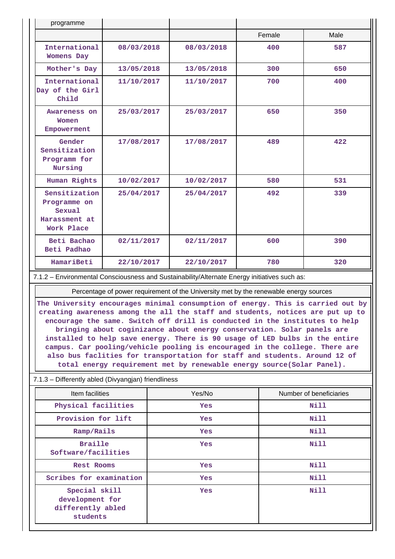| programme                                                              |            |            |        |      |
|------------------------------------------------------------------------|------------|------------|--------|------|
|                                                                        |            |            | Female | Male |
| International<br><b>Womens Day</b>                                     | 08/03/2018 | 08/03/2018 | 400    | 587  |
| Mother's Day                                                           | 13/05/2018 | 13/05/2018 | 300    | 650  |
| International<br>Day of the Girl<br>Child                              | 11/10/2017 | 11/10/2017 | 700    | 400  |
| Awareness on<br>Women<br>Empowerment                                   | 25/03/2017 | 25/03/2017 | 650    | 350  |
| Gender<br>Sensitization<br>Programm for<br>Nursing                     | 17/08/2017 | 17/08/2017 | 489    | 422  |
| Human Rights                                                           | 10/02/2017 | 10/02/2017 | 580    | 531  |
| Sensitization<br>Programme on<br>Sexual<br>Harassment at<br>Work Place | 25/04/2017 | 25/04/2017 | 492    | 339  |
| Beti Bachao<br>Beti Padhao                                             | 02/11/2017 | 02/11/2017 | 600    | 390  |
| HamariBeti                                                             | 22/10/2017 | 22/10/2017 | 780    | 320  |

7.1.2 – Environmental Consciousness and Sustainability/Alternate Energy initiatives such as:

Percentage of power requirement of the University met by the renewable energy sources

**The University encourages minimal consumption of energy. This is carried out by creating awareness among the all the staff and students, notices are put up to encourage the same. Switch off drill is conducted in the institutes to help bringing about coginizance about energy conservation. Solar panels are installed to help save energy. There is 90 usage of LED bulbs in the entire campus. Car pooling/vehicle pooling is encouraged in the college. There are also bus faclities for transportation for staff and students. Around 12 of total energy requirement met by renewable energy source(Solar Panel).**

#### 7.1.3 – Differently abled (Divyangjan) friendliness

| Item facilities                                                   | Yes/No     | Number of beneficiaries |
|-------------------------------------------------------------------|------------|-------------------------|
| Physical facilities                                               | <b>Yes</b> | Nill                    |
| Provision for lift                                                | <b>Yes</b> | Nill                    |
| Ramp/Rails                                                        | <b>Yes</b> | Nill                    |
| <b>Braille</b><br>Software/facilities                             | <b>Yes</b> | Nill                    |
| Rest Rooms                                                        | <b>Yes</b> | Nill                    |
| Scribes for examination                                           | <b>Yes</b> | <b>Nill</b>             |
| Special skill<br>development for<br>differently abled<br>students | <b>Yes</b> | Nill                    |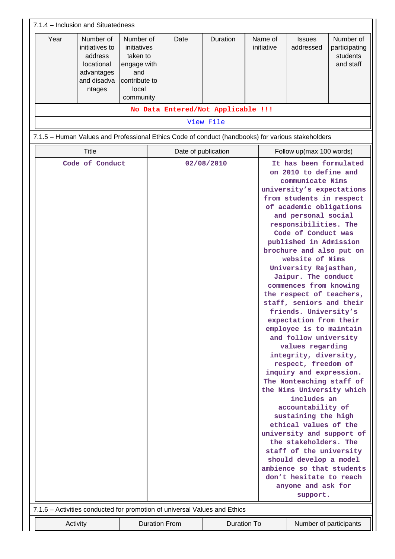| 7.1.4 – Inclusion and Situatedness                                                                                                                                                                                                                                                                                                                                                                                                                                                                                                                                                                                                                                                                                                                                                                                                                                                                                                                                                                                                 |                                                                                                   |                                    |             |  |                       |                            |                                                     |  |  |
|------------------------------------------------------------------------------------------------------------------------------------------------------------------------------------------------------------------------------------------------------------------------------------------------------------------------------------------------------------------------------------------------------------------------------------------------------------------------------------------------------------------------------------------------------------------------------------------------------------------------------------------------------------------------------------------------------------------------------------------------------------------------------------------------------------------------------------------------------------------------------------------------------------------------------------------------------------------------------------------------------------------------------------|---------------------------------------------------------------------------------------------------|------------------------------------|-------------|--|-----------------------|----------------------------|-----------------------------------------------------|--|--|
| Year<br>Number of<br>initiatives to<br>address<br>locational<br>advantages<br>and disadva<br>ntages                                                                                                                                                                                                                                                                                                                                                                                                                                                                                                                                                                                                                                                                                                                                                                                                                                                                                                                                | Number of<br>initiatives<br>taken to<br>engage with<br>and<br>contribute to<br>local<br>community | Date                               | Duration    |  | Name of<br>initiative | <b>Issues</b><br>addressed | Number of<br>participating<br>students<br>and staff |  |  |
|                                                                                                                                                                                                                                                                                                                                                                                                                                                                                                                                                                                                                                                                                                                                                                                                                                                                                                                                                                                                                                    |                                                                                                   | No Data Entered/Not Applicable !!! |             |  |                       |                            |                                                     |  |  |
| View File                                                                                                                                                                                                                                                                                                                                                                                                                                                                                                                                                                                                                                                                                                                                                                                                                                                                                                                                                                                                                          |                                                                                                   |                                    |             |  |                       |                            |                                                     |  |  |
| 7.1.5 - Human Values and Professional Ethics Code of conduct (handbooks) for various stakeholders                                                                                                                                                                                                                                                                                                                                                                                                                                                                                                                                                                                                                                                                                                                                                                                                                                                                                                                                  |                                                                                                   |                                    |             |  |                       |                            |                                                     |  |  |
| <b>Title</b>                                                                                                                                                                                                                                                                                                                                                                                                                                                                                                                                                                                                                                                                                                                                                                                                                                                                                                                                                                                                                       | Date of publication<br>Follow up(max 100 words)                                                   |                                    |             |  |                       |                            |                                                     |  |  |
| It has been formulated<br>Code of Conduct<br>02/08/2010<br>on 2010 to define and<br>communicate Nims<br>university's expectations<br>from students in respect<br>of academic obligations<br>and personal social<br>responsibilities. The<br>Code of Conduct was<br>published in Admission<br>brochure and also put on<br>website of Nims<br>University Rajasthan,<br>Jaipur. The conduct<br>commences from knowing<br>the respect of teachers,<br>staff, seniors and their<br>friends. University's<br>expectation from their<br>employee is to maintain<br>and follow university<br>values regarding<br>integrity, diversity,<br>respect, freedom of<br>inquiry and expression.<br>The Nonteaching staff of<br>the Nims University which<br>includes an<br>accountability of<br>sustaining the high<br>ethical values of the<br>university and support of<br>the stakeholders. The<br>staff of the university<br>should develop a model<br>ambience so that students<br>don't hesitate to reach<br>anyone and ask for<br>support. |                                                                                                   |                                    |             |  |                       |                            |                                                     |  |  |
| 7.1.6 – Activities conducted for promotion of universal Values and Ethics                                                                                                                                                                                                                                                                                                                                                                                                                                                                                                                                                                                                                                                                                                                                                                                                                                                                                                                                                          |                                                                                                   |                                    |             |  |                       |                            |                                                     |  |  |
| Activity                                                                                                                                                                                                                                                                                                                                                                                                                                                                                                                                                                                                                                                                                                                                                                                                                                                                                                                                                                                                                           |                                                                                                   | <b>Duration From</b>               | Duration To |  |                       |                            | Number of participants                              |  |  |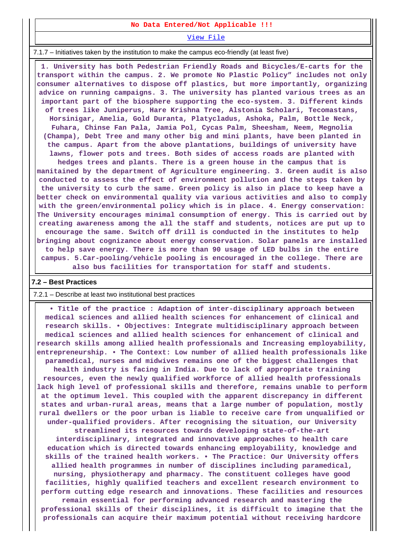### **No Data Entered/Not Applicable !!!**

[View File](https://assessmentonline.naac.gov.in/public/Postacc/promotion_activities/9732_promotion_activities_1640805896.xlsx)

7.1.7 – Initiatives taken by the institution to make the campus eco-friendly (at least five)

 **1. University has both Pedestrian Friendly Roads and Bicycles/E-carts for the transport within the campus. 2. We promote No Plastic Policy" includes not only consumer alternatives to dispose off plastics, but more importantly, organizing advice on running campaigns. 3. The university has planted various trees as an important part of the biosphere supporting the eco-system. 3. Different kinds of trees like Juniperus, Hare Krishna Tree, Alstonia Scholari, Tecomastans, Horsinigar, Amelia, Gold Duranta, Platycladus, Ashoka, Palm, Bottle Neck, Fuhara, Chinse Fan Pala, Jamia Pol, Cycas Palm, Sheesham, Neem, Megnolia (Champa), Debt Tree and many other big and mini plants, have been planted in the campus. Apart from the above plantations, buildings of university have lawns, flower pots and trees. Both sides of access roads are planted with hedges trees and plants. There is a green house in the campus that is manitained by the department of Agriculture engineering. 3. Green audit is also conducted to assess the effect of environment pollution and the steps taken by the university to curb the same. Green policy is also in place to keep have a better check on environmental quality via various activities and also to comply with the green/environmental policy which is in place. 4. Energy conservation: The University encourages minimal consumption of energy. This is carried out by creating awareness among the all the staff and students, notices are put up to encourage the same. Switch off drill is conducted in the institutes to help bringing about cognizance about energy conservation. Solar panels are installed to help save energy. There is more than 90 usage of LED bulbs in the entire campus. 5.Car-pooling/vehicle pooling is encouraged in the college. There are also bus facilities for transportation for staff and students.**

#### **7.2 – Best Practices**

#### 7.2.1 – Describe at least two institutional best practices

 **• Title of the practice : Adaption of inter-disciplinary approach between medical sciences and allied health sciences for enhancement of clinical and research skills. • Objectives: Integrate multidisciplinary approach between medical sciences and allied health sciences for enhancement of clinical and research skills among allied health professionals and Increasing employability, entrepreneurship. • The Context: Low number of allied health professionals like paramedical, nurses and midwives remains one of the biggest challenges that health industry is facing in India. Due to lack of appropriate training resources, even the newly qualified workforce of allied health professionals lack high level of professional skills and therefore, remains unable to perform at the optimum level. This coupled with the apparent discrepancy in different states and urban-rural areas, means that a large number of population, mostly rural dwellers or the poor urban is liable to receive care from unqualified or under-qualified providers. After recognising the situation, our University**

**streamlined its resources towards developing state-of-the-art interdisciplinary, integrated and innovative approaches to health care education which is directed towards enhancing employability, knowledge and skills of the trained health workers. • The Practice: Our University offers allied health programmes in number of disciplines including paramedical, nursing, physiotherapy and pharmacy. The constituent colleges have good facilities, highly qualified teachers and excellent research environment to perform cutting edge research and innovations. These facilities and resources remain essential for performing advanced research and mastering the professional skills of their disciplines, it is difficult to imagine that the professionals can acquire their maximum potential without receiving hardcore**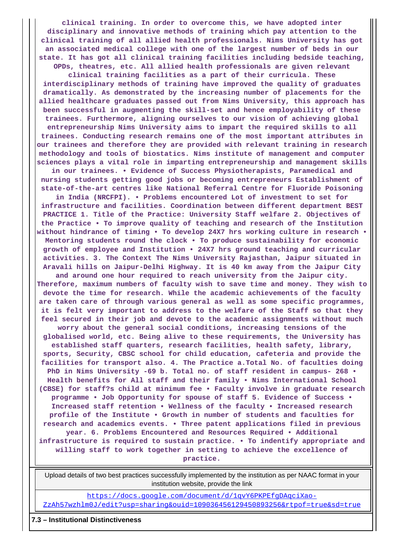**clinical training. In order to overcome this, we have adopted inter disciplinary and innovative methods of training which pay attention to the clinical training of all allied health professionals. Nims University has got an associated medical college with one of the largest number of beds in our state. It has got all clinical training facilities including bedside teaching,**

**OPDs, theatres, etc. All allied health professionals are given relevant clinical training facilities as a part of their curricula. These interdisciplinary methods of training have improved the quality of graduates dramatically. As demonstrated by the increasing number of placements for the allied healthcare graduates passed out from Nims University, this approach has been successful in augmenting the skill-set and hence employability of these trainees. Furthermore, aligning ourselves to our vision of achieving global entrepreneurship Nims University aims to impart the required skills to all trainees. Conducting research remains one of the most important attributes in our trainees and therefore they are provided with relevant training in research methodology and tools of biostatics. Nims institute of management and computer sciences plays a vital role in imparting entrepreneurship and management skills**

**in our trainees. • Evidence of Success Physiotherapists, Paramedical and nursing students getting good jobs or becoming entrepreneurs Establishment of state-of-the-art centres like National Referral Centre for Fluoride Poisoning**

**in India (NRCFPI). • Problems encountered Lot of investment to set for infrastructure and facilities. Coordination between different department BEST PRACTICE 1. Title of the Practice: University Staff welfare 2. Objectives of the Practice • To improve quality of teaching and research of the Institution without hindrance of timing • To develop 24X7 hrs working culture in research • Mentoring students round the clock • To produce sustainability for economic growth of employee and Institution • 24X7 hrs ground teaching and curricular activities. 3. The Context The Nims University Rajasthan, Jaipur situated in Aravali hills on Jaipur-Delhi Highway. It is 40 km away from the Jaipur City**

**and around one hour required to reach university from the Jaipur city. Therefore, maximum numbers of faculty wish to save time and money. They wish to devote the time for research. While the academic achievements of the faculty are taken care of through various general as well as some specific programmes, it is felt very important to address to the welfare of the Staff so that they feel secured in their job and devote to the academic assignments without much**

**worry about the general social conditions, increasing tensions of the globalised world, etc. Being alive to these requirements, the University has established staff quarters, research facilities, health safety, library, sports, Security, CBSC school for child education, cafeteria and provide the facilities for transport also. 4. The Practice a.Total No. of faculties doing PhD in Nims University -69 b. Total no. of staff resident in campus- 268 • Health benefits for All staff and their family • Nims International School (CBSE) for staff?s child at minimum fee • Faculty involve in graduate research programme • Job Opportunity for spouse of staff 5. Evidence of Success • Increased staff retention • Wellness of the faculty • Increased research profile of the Institute • Growth in number of students and faculties for research and academics events. • Three patent applications filed in previous year. 6. Problems Encountered and Resources Required • Additional infrastructure is required to sustain practice. • To indentify appropriate and**

**willing staff to work together in setting to achieve the excellence of practice.**

 Upload details of two best practices successfully implemented by the institution as per NAAC format in your institution website, provide the link

[https://docs.google.com/document/d/1qvY6PKPEfgDAqciXao-](https://docs.google.com/document/d/1qvY6PKPEfgDAqciXao-ZzAh57wzhlm0J/edit?usp=sharing&ouid=109036456129450893256&rtpof=true&sd=true)[ZzAh57wzhlm0J/edit?usp=sharing&ouid=109036456129450893256&rtpof=true&sd=true](https://docs.google.com/document/d/1qvY6PKPEfgDAqciXao-ZzAh57wzhlm0J/edit?usp=sharing&ouid=109036456129450893256&rtpof=true&sd=true)

#### **7.3 – Institutional Distinctiveness**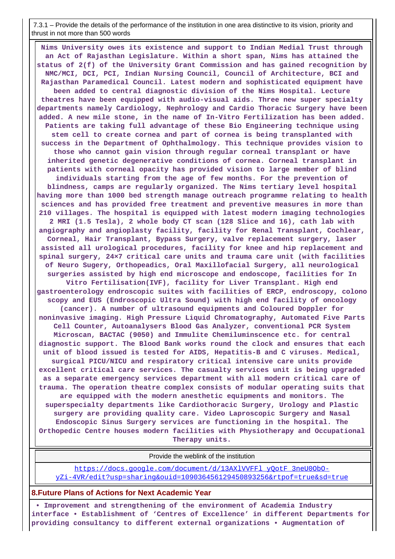7.3.1 – Provide the details of the performance of the institution in one area distinctive to its vision, priority and thrust in not more than 500 words

 **Nims University owes its existence and support to Indian Medial Trust through an Act of Rajasthan Legislature. Within a short span, Nims has attained the status of 2(f) of the University Grant Commission and has gained recognition by NMC/MCI, DCI, PCI, Indian Nursing Council, Council of Architecture, BCI and Rajasthan Paramedical Council. Latest modern and sophisticated equipment have been added to central diagnostic division of the Nims Hospital. Lecture theatres have been equipped with audio-visual aids. Three new super specialty departments namely Cardiology, Nephrology and Cardio Thoracic Surgery have been added. A new mile stone, in the name of In-Vitro Fertilization has been added. Patients are taking full advantage of these Bio Engineering technique using stem cell to create cornea and part of cornea is being transplanted with success in the Department of Ophthalmology. This technique provides vision to those who cannot gain vision through regular corneal transplant or have inherited genetic degenerative conditions of cornea. Corneal transplant in patients with corneal opacity has provided vision to large member of blind individuals starting from the age of few months. For the prevention of blindness, camps are regularly organized. The Nims tertiary level hospital having more than 1000 bed strength manage outreach programme relating to health sciences and has provided free treatment and preventive measures in more than 210 villages. The hospital is equipped with latest modern imaging technologies 2 MRI (1.5 Tesla), 2 whole body CT scan (128 Slice and 16), cath lab with angiography and angioplasty facility, facility for Renal Transplant, Cochlear, Corneal, Hair Transplant, Bypass Surgery, valve replacement surgery, laser assisted all urological procedures, facility for knee and hip replacement and spinal surgery, 24×7 critical care units and trauma care unit (with facilities of Neuro Sugery, Orthopeadics, Oral Maxillofacial Surgery, all neurological surgeries assisted by high end microscope and endoscope, facilities for In Vitro Fertilisation(IVF), facility for Liver Transplant. High end gastroenterology endroscopic suites with facilities of ERCP, endroscopy, colono scopy and EUS (Endroscopic Ultra Sound) with high end facility of oncology (cancer). A number of ultrasound equipments and Coloured Doppler for noninvasive imaging. High Pressure Liquid Chromatography, Automated Five Parts Cell Counter, Autoanalysers Blood Gas Analyzer, conventional PCR System Microscan, BACTAC (9050) and Immulite Chemiluminscence etc. for central diagnostic support. The Blood Bank works round the clock and ensures that each unit of blood issued is tested for AIDS, Hepatitis-B and C viruses. Medical, surgical PICU/NICU and respiratory critical intensive care units provide excellent critical care services. The casualty services unit is being upgraded as a separate emergency services department with all modern critical care of trauma. The operation theatre complex consists of modular operating suits that are equipped with the modern anesthetic equipments and monitors. The superspecialty departments like Cardiothoracic Surgery, Urology and Plastic surgery are providing quality care. Video Laproscopic Surgery and Nasal Endoscopic Sinus Surgery services are functioning in the hospital. The Orthopedic Centre houses modern facilities with Physiotherapy and Occupational Therapy units.**

Provide the weblink of the institution

https://docs.google.com/document/d/13AXlVVFFl\_yOotF\_3neU0ObO[yZi-4VR/edit?usp=sharing&ouid=109036456129450893256&rtpof=true&sd=true](https://docs.google.com/document/d/13AXlVVFFl_yQotF_3neU0ObO-yZi-4VR/edit?usp=sharing&ouid=109036456129450893256&rtpof=true&sd=true)

#### **8.Future Plans of Actions for Next Academic Year**

 **• Improvement and strengthening of the environment of Academia Industry interface • Establishment of 'Centres of Excellence' in different Departments for providing consultancy to different external organizations • Augmentation of**